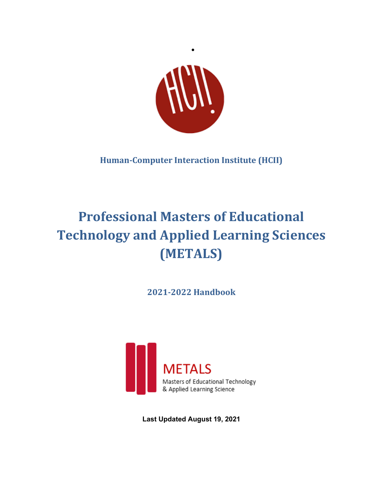

•

**Human-Computer Interaction Institute (HCII)**

# **Professional Masters of Educational Technology and Applied Learning Sciences (METALS)**

**2021-2022 Handbook**



**Last Updated August 19, 2021**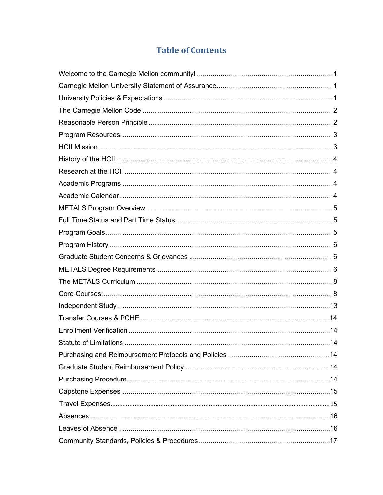# **Table of Contents**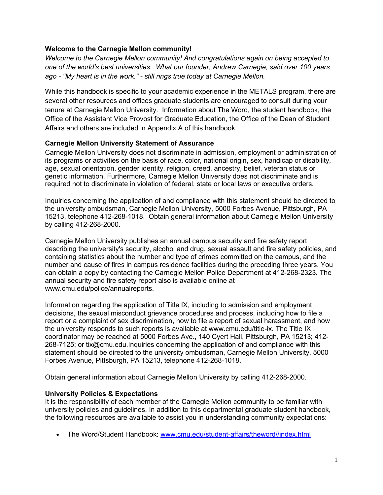### <span id="page-3-0"></span>**Welcome to the Carnegie Mellon community!**

*Welcome to the Carnegie Mellon community! And congratulations again on being accepted to one of the world's best universities. What our founder, Andrew Carnegie, said over 100 years ago - "My heart is in the work." - still rings true today at Carnegie Mellon.* 

While this handbook is specific to your academic experience in the METALS program, there are several other resources and offices graduate students are encouraged to consult during your tenure at Carnegie Mellon University. Information about The Word, the student handbook, the Office of the Assistant Vice Provost for Graduate Education, the Office of the Dean of Student Affairs and others are included in Appendix A of this handbook.

#### <span id="page-3-1"></span>**Carnegie Mellon University Statement of Assurance**

Carnegie Mellon University does not discriminate in admission, employment or administration of its programs or activities on the basis of race, color, national origin, sex, handicap or disability, age, sexual orientation, gender identity, religion, creed, ancestry, belief, veteran status or genetic information. Furthermore, Carnegie Mellon University does not discriminate and is required not to discriminate in violation of federal, state or local laws or executive orders.

Inquiries concerning the application of and compliance with this statement should be directed to the university ombudsman, Carnegie Mellon University, 5000 Forbes Avenue, Pittsburgh, PA 15213, telephone 412-268-1018. Obtain general information about Carnegie Mellon University by calling 412-268-2000.

Carnegie Mellon University publishes an annual campus security and fire safety report describing the university's security, alcohol and drug, sexual assault and fire safety policies, and containing statistics about the number and type of crimes committed on the campus, and the number and cause of fires in campus residence facilities during the preceding three years. You can obtain a copy by contacting the Carnegie Mellon Police Department at 412-268-2323. The annual security and fire safety report also is available online at www.cmu.edu/police/annualreports.

Information regarding the application of Title IX, including to admission and employment decisions, the sexual misconduct grievance procedures and process, including how to file a report or a complaint of sex discrimination, how to file a report of sexual harassment, and how the university responds to such reports is available at www.cmu.edu/title-ix. The Title IX coordinator may be reached at 5000 Forbes Ave., 140 Cyert Hall, Pittsburgh, PA 15213; 412- 268-7125; or tix@cmu.edu.Inquiries concerning the application of and compliance with this statement should be directed to the university ombudsman, Carnegie Mellon University, 5000 Forbes Avenue, Pittsburgh, PA 15213, telephone 412-268-1018.

Obtain general information about Carnegie Mellon University by calling 412-268-2000.

#### <span id="page-3-2"></span>**University Policies & Expectations**

It is the responsibility of each member of the Carnegie Mellon community to be familiar with university policies and guidelines. In addition to this departmental graduate student handbook, the following resources are available to assist you in understanding community expectations:

• The Word/Student Handbook: [www.cmu.edu/student-affairs/theword//index.html](http://www.cmu.edu/student-affairs/theword/index.html)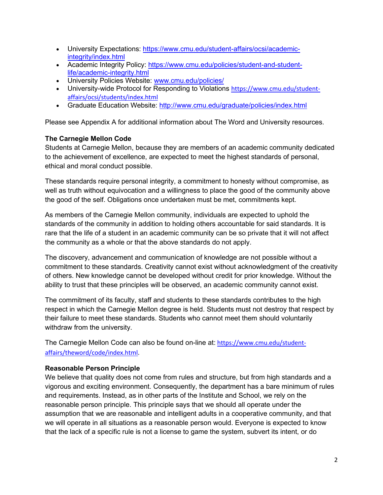- University Expectations: [https://www.cmu.edu/student-affairs/ocsi/academic](https://www.cmu.edu/student-affairs/ocsi/academic-integrity/index.html)[integrity/index.html](https://www.cmu.edu/student-affairs/ocsi/academic-integrity/index.html)
- Academic Integrity Policy: [https://www.cmu.edu/policies/student-and-student](https://www.cmu.edu/policies/student-and-student-life/academic-integrity.html)[life/academic-integrity.html](https://www.cmu.edu/policies/student-and-student-life/academic-integrity.html)
- University Policies Website: [www.cmu.edu/policies/](http://www.cmu.edu/policies/)
- University-wide Protocol for Responding to Violations [https://www.cmu.edu/student](https://www.cmu.edu/student-affairs/ocsi/students/index.html)[affairs/ocsi/students/index.html](https://www.cmu.edu/student-affairs/ocsi/students/index.html)
- Graduate Education Website:<http://www.cmu.edu/graduate/policies/index.html>

Please see Appendix A for additional information about The Word and University resources.

# <span id="page-4-0"></span>**The Carnegie Mellon Code**

Students at Carnegie Mellon, because they are members of an academic community dedicated to the achievement of excellence, are expected to meet the highest standards of personal, ethical and moral conduct possible.

These standards require personal integrity, a commitment to honesty without compromise, as well as truth without equivocation and a willingness to place the good of the community above the good of the self. Obligations once undertaken must be met, commitments kept.

As members of the Carnegie Mellon community, individuals are expected to uphold the standards of the community in addition to holding others accountable for said standards. It is rare that the life of a student in an academic community can be so private that it will not affect the community as a whole or that the above standards do not apply.

The discovery, advancement and communication of knowledge are not possible without a commitment to these standards. Creativity cannot exist without acknowledgment of the creativity of others. New knowledge cannot be developed without credit for prior knowledge. Without the ability to trust that these principles will be observed, an academic community cannot exist.

The commitment of its faculty, staff and students to these standards contributes to the high respect in which the Carnegie Mellon degree is held. Students must not destroy that respect by their failure to meet these standards. Students who cannot meet them should voluntarily withdraw from the university.

The Carnegie Mellon Code can also be found on-line at: [https://www.cmu.edu/student](https://www.cmu.edu/student-affairs/theword/code/index.html)[affairs/theword/code/index.html.](https://www.cmu.edu/student-affairs/theword/code/index.html)

#### <span id="page-4-1"></span>**Reasonable Person Principle**

We believe that quality does not come from rules and structure, but from high standards and a vigorous and exciting environment. Consequently, the department has a bare minimum of rules and requirements. Instead, as in other parts of the Institute and School, we rely on the reasonable person principle. This principle says that we should all operate under the assumption that we are reasonable and intelligent adults in a cooperative community, and that we will operate in all situations as a reasonable person would. Everyone is expected to know that the lack of a specific rule is not a license to game the system, subvert its intent, or do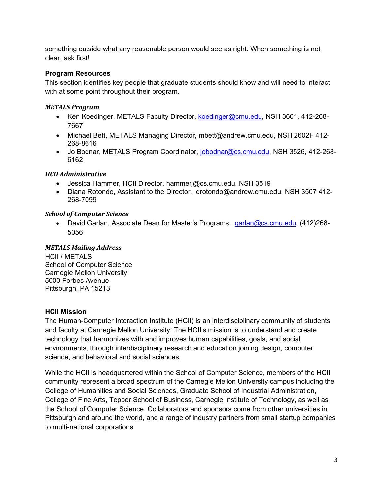something outside what any reasonable person would see as right. When something is not clear, ask first!

# <span id="page-5-0"></span>**Program Resources**

This section identifies key people that graduate students should know and will need to interact with at some point throughout their program.

### *METALS Program*

- Ken Koedinger, METALS Faculty Director, [koedinger@cmu.edu,](mailto:koedinger@cmu.edu) NSH 3601, 412-268-7667
- Michael Bett, METALS Managing Director, mbett@andrew.cmu.edu, NSH 2602F 412- 268-8616
- Jo Bodnar, METALS Program Coordinator, [jobodnar@cs.cmu.edu,](mailto:jobodnar@cs.cmu.edu) NSH 3526, 412-268- 6162

# *HCII Administrative*

- Jessica Hammer, HCII Director, hammerj@cs.cmu.edu, NSH 3519
- Diana Rotondo, Assistant to the Director, drotondo@andrew.cmu.edu, NSH 3507 412- 268-7099

### *School of Computer Science*

• David Garlan, Associate Dean for Master's Programs, [garlan@cs.cmu.edu,](mailto:garlan@cs.cmu.edu) (412)268-5056

# *METALS Mailing Address*

HCII / METALS School of Computer Science Carnegie Mellon University 5000 Forbes Avenue Pittsburgh, PA 15213

# <span id="page-5-1"></span>**HCII Mission**

The Human-Computer Interaction Institute (HCII) is an interdisciplinary community of students and faculty at Carnegie Mellon University. The HCII's mission is to understand and create technology that harmonizes with and improves human capabilities, goals, and social environments, through interdisciplinary research and education joining design, computer science, and behavioral and social sciences.

While the HCII is headquartered within the School of Computer Science, members of the HCII community represent a broad spectrum of the Carnegie Mellon University campus including the College of Humanities and Social Sciences, Graduate School of Industrial Administration, College of Fine Arts, Tepper School of Business, Carnegie Institute of Technology, as well as the School of Computer Science. Collaborators and sponsors come from other universities in Pittsburgh and around the world, and a range of industry partners from small startup companies to multi-national corporations.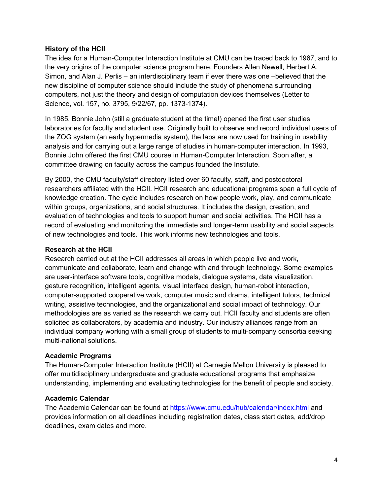#### <span id="page-6-0"></span>**History of the HCII**

The idea for a Human-Computer Interaction Institute at CMU can be traced back to 1967, and to the very origins of the computer science program here. Founders Allen Newell, Herbert A. Simon, and Alan J. Perlis – an interdisciplinary team if ever there was one –believed that the new discipline of computer science should include the study of phenomena surrounding computers, not just the theory and design of computation devices themselves (Letter to Science, vol. 157, no. 3795, 9/22/67, pp. 1373-1374).

In 1985, Bonnie John (still a graduate student at the time!) opened the first user studies laboratories for faculty and student use. Originally built to observe and record individual users of the ZOG system (an early hypermedia system), the labs are now used for training in usability analysis and for carrying out a large range of studies in human-computer interaction. In 1993, Bonnie John offered the first CMU course in Human-Computer Interaction. Soon after, a committee drawing on faculty across the campus founded the Institute.

By 2000, the CMU faculty/staff directory listed over 60 faculty, staff, and postdoctoral researchers affiliated with the HCII. HCII research and educational programs span a full cycle of knowledge creation. The cycle includes research on how people work, play, and communicate within groups, organizations, and social structures. It includes the design, creation, and evaluation of technologies and tools to support human and social activities. The HCII has a record of evaluating and monitoring the immediate and longer-term usability and social aspects of new technologies and tools. This work informs new technologies and tools.

#### <span id="page-6-1"></span>**Research at the HCII**

Research carried out at the HCII addresses all areas in which people live and work, communicate and collaborate, learn and change with and through technology. Some examples are user-interface software tools, cognitive models, dialogue systems, data visualization, gesture recognition, intelligent agents, visual interface design, human-robot interaction, computer-supported cooperative work, computer music and drama, intelligent tutors, technical writing, assistive technologies, and the organizational and social impact of technology. Our methodologies are as varied as the research we carry out. HCII faculty and students are often solicited as collaborators, by academia and industry. Our industry alliances range from an individual company working with a small group of students to multi-company consortia seeking multi-national solutions.

# <span id="page-6-2"></span>**Academic Programs**

The Human-Computer Interaction Institute (HCII) at Carnegie Mellon University is pleased to offer multidisciplinary undergraduate and graduate educational programs that emphasize understanding, implementing and evaluating technologies for the benefit of people and society.

# <span id="page-6-3"></span>**Academic Calendar**

The Academic Calendar can be found at<https://www.cmu.edu/hub/calendar/index.html> and provides information on all deadlines including registration dates, class start dates, add/drop deadlines, exam dates and more.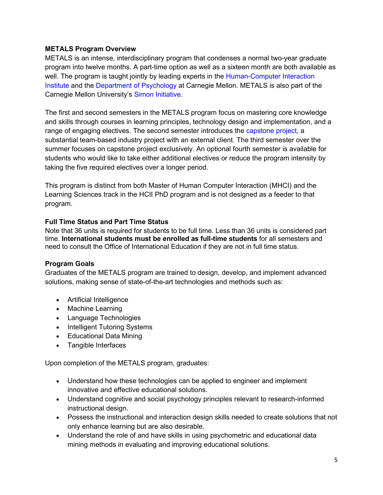### <span id="page-7-0"></span>**METALS Program Overview**

METALS is an intense, interdisciplinary program that condenses a normal two-year graduate program into twelve months. A part-time option as well as a sixteen month are both available as well. The program is taught jointly by leading experts in the Human-Computer Interaction [Institute](http://www.hcii.cmu.edu/) and the [Department of Psychology](http://www.psy.cmu.edu/) at Carnegie Mellon. METALS is also part of the Carnegie Mellon University's [Simon Initiative.](http://www.cmu.edu/simon/)

The first and second semesters in the METALS program focus on mastering core knowledge and skills through courses in learning principles, technology design and implementation, and a range of engaging electives. The second semester introduces the [capstone project,](http://metals.hcii.cmu.edu/capstone-project/) a substantial team-based industry project with an external client. The third semester over the summer focuses on capstone project exclusively. An optional fourth semester is available for students who would like to take either additional electives or reduce the program intensity by taking the five required electives over a longer period.

This program is distinct from both Master of Human Computer Interaction (MHCI) and the Learning Sciences track in the HCII PhD program and is not designed as a feeder to that program.

# <span id="page-7-1"></span>**Full Time Status and Part Time Status**

Note that 36 units is required for students to be full time. Less than 36 units is considered part time. **International students must be enrolled as full-time students** for all semesters and need to consult the Office of International Education if they are not in full time status.

# <span id="page-7-2"></span>**Program Goals**

Graduates of the METALS program are trained to design, develop, and implement advanced solutions, making sense of state-of-the-art technologies and methods such as:

- Artificial Intelligence
- Machine Learning
- Language Technologies
- Intelligent Tutoring Systems
- Educational Data Mining
- Tangible Interfaces

Upon completion of the METALS program, graduates:

- Understand how these technologies can be applied to engineer and implement innovative and effective educational solutions.
- Understand cognitive and social psychology principles relevant to research-informed instructional design.
- Possess the instructional and interaction design skills needed to create solutions that not only enhance learning but are also desirable.
- Understand the role of and have skills in using psychometric and educational data mining methods in evaluating and improving educational solutions.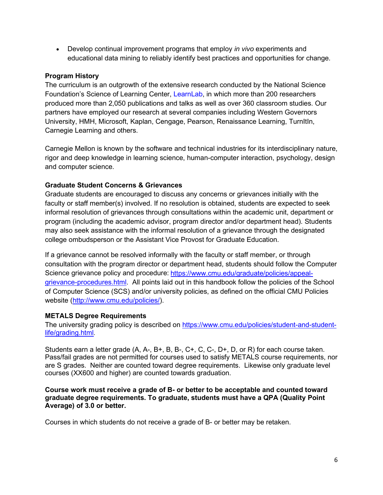• Develop continual improvement programs that employ *in vivo* experiments and educational data mining to reliably identify best practices and opportunities for change.

# <span id="page-8-0"></span>**Program History**

The curriculum is an outgrowth of the extensive research conducted by the National Science Foundation's Science of Learning Center, [LearnLab,](http://learnlab.org/) in which more than 200 researchers produced more than 2,050 publications and talks as well as over 360 classroom studies. Our partners have employed our research at several companies including Western Governors University, HMH, Microsoft, Kaplan, Cengage, Pearson, Renaissance Learning, TurnItIn, Carnegie Learning and others.

Carnegie Mellon is known by the software and technical industries for its interdisciplinary nature, rigor and deep knowledge in learning science, human-computer interaction, psychology, design and computer science.

### <span id="page-8-1"></span>**Graduate Student Concerns & Grievances**

Graduate students are encouraged to discuss any concerns or grievances initially with the faculty or staff member(s) involved. If no resolution is obtained, students are expected to seek informal resolution of grievances through consultations within the academic unit, department or program (including the academic advisor, program director and/or department head). Students may also seek assistance with the informal resolution of a grievance through the designated college ombudsperson or the Assistant Vice Provost for Graduate Education.

If a grievance cannot be resolved informally with the faculty or staff member, or through consultation with the program director or department head, students should follow the Computer Science grievance policy and procedure: [https://www.cmu.edu/graduate/policies/appeal](https://www.cmu.edu/graduate/policies/appeal-grievance-procedures.html)[grievance-procedures.html.](https://www.cmu.edu/graduate/policies/appeal-grievance-procedures.html) All points laid out in this handbook follow the policies of the School of Computer Science (SCS) and/or university policies, as defined on the official CMU Policies website [\(http://www.cmu.edu/policies/\)](http://www.cmu.edu/policies/).

#### <span id="page-8-2"></span>**METALS Degree Requirements**

The university grading policy is described on [https://www.cmu.edu/policies/student-and-student](https://www.cmu.edu/policies/student-and-student-life/grading.html)[life/grading.html.](https://www.cmu.edu/policies/student-and-student-life/grading.html)

Students earn a letter grade (A, A-, B+, B, B-, C+, C, C-, D+, D, or R) for each course taken. Pass/fail grades are not permitted for courses used to satisfy METALS course requirements, nor are S grades. Neither are counted toward degree requirements. Likewise only graduate level courses (XX600 and higher) are counted towards graduation.

#### **Course work must receive a grade of B- or better to be acceptable and counted toward graduate degree requirements. To graduate, students must have a QPA (Quality Point Average) of 3.0 or better.**

Courses in which students do not receive a grade of B- or better may be retaken.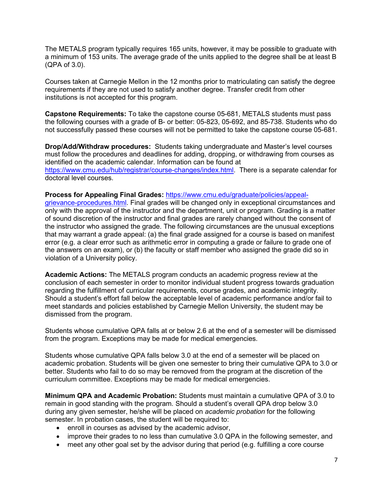The METALS program typically requires 165 units, however, it may be possible to graduate with a minimum of 153 units. The average grade of the units applied to the degree shall be at least B (QPA of 3.0).

Courses taken at Carnegie Mellon in the 12 months prior to matriculating can satisfy the degree requirements if they are not used to satisfy another degree. Transfer credit from other institutions is not accepted for this program.

**Capstone Requirements:** To take the capstone course 05-681, METALS students must pass the following courses with a grade of B- or better: 05-823, 05-692, and 85-738. Students who do not successfully passed these courses will not be permitted to take the capstone course 05-681.

**Drop/Add/Withdraw procedures:** Students taking undergraduate and Master's level courses must follow the procedures and deadlines for adding, dropping, or withdrawing from courses as identified on the academic calendar. Information can be found at [https://www.cmu.edu/hub/registrar/course-changes/index.html.](https://www.cmu.edu/hub/registrar/course-changes/index.html) There is a separate calendar for doctoral level courses.

**Process for Appealing Final Grades:** [https://www.cmu.edu/graduate/policies/appeal-](https://www.cmu.edu/graduate/policies/appeal-grievance-procedures.html)

[grievance-procedures.html.](https://www.cmu.edu/graduate/policies/appeal-grievance-procedures.html) Final grades will be changed only in exceptional circumstances and only with the approval of the instructor and the department, unit or program. Grading is a matter of sound discretion of the instructor and final grades are rarely changed without the consent of the instructor who assigned the grade. The following circumstances are the unusual exceptions that may warrant a grade appeal: (a) the final grade assigned for a course is based on manifest error (e.g. a clear error such as arithmetic error in computing a grade or failure to grade one of the answers on an exam), or (b) the faculty or staff member who assigned the grade did so in violation of a University policy.

**Academic Actions:** The METALS program conducts an academic progress review at the conclusion of each semester in order to monitor individual student progress towards graduation regarding the fulfillment of curricular requirements, course grades, and academic integrity. Should a student's effort fall below the acceptable level of academic performance and/or fail to meet standards and policies established by Carnegie Mellon University, the student may be dismissed from the program.

Students whose cumulative QPA falls at or below 2.6 at the end of a semester will be dismissed from the program. Exceptions may be made for medical emergencies.

Students whose cumulative QPA falls below 3.0 at the end of a semester will be placed on academic probation. Students will be given one semester to bring their cumulative QPA to 3.0 or better. Students who fail to do so may be removed from the program at the discretion of the curriculum committee. Exceptions may be made for medical emergencies.

**Minimum QPA and Academic Probation:** Students must maintain a cumulative QPA of 3.0 to remain in good standing with the program. Should a student's overall QPA drop below 3.0 during any given semester, he/she will be placed on *academic probation* for the following semester. In probation cases, the student will be required to:

- enroll in courses as advised by the academic advisor,
- improve their grades to no less than cumulative 3.0 QPA in the following semester, and
- meet any other goal set by the advisor during that period (e.g. fulfilling a core course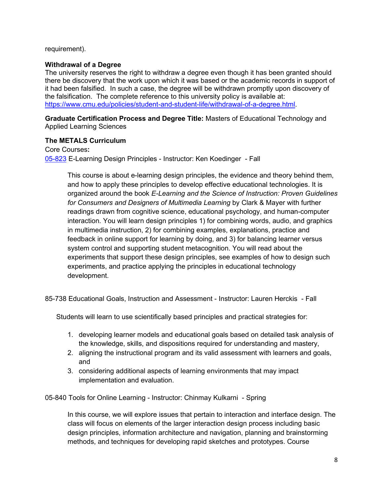#### requirement).

#### **Withdrawal of a Degree**

The university reserves the right to withdraw a degree even though it has been granted should there be discovery that the work upon which it was based or the academic records in support of it had been falsified. In such a case, the degree will be withdrawn promptly upon discovery of the falsification. The complete reference to this university policy is available at: [https://www.cmu.edu/policies/student-and-student-life/withdrawal-of-a-degree.html.](https://www.cmu.edu/policies/student-and-student-life/withdrawal-of-a-degree.html)

**Graduate Certification Process and Degree Title:** Masters of Educational Technology and Applied Learning Sciences

### <span id="page-10-0"></span>**The METALS Curriculum**

<span id="page-10-1"></span>Core Courses**:** [05-823](http://www.hcii.cmu.edu/courses/e-learning-design-principles) E-Learning Design Principles - Instructor: [Ken Koedinger](http://pact.cs.cmu.edu/koedinger.html) - Fall

> This course is about e-learning design principles, the evidence and theory behind them, and how to apply these principles to develop effective educational technologies. It is organized around the book *E-Learning and the Science of Instruction: Proven Guidelines for Consumers and Designers of Multimedia Learning* by Clark & Mayer with further readings drawn from cognitive science, educational psychology, and human-computer interaction. You will learn design principles 1) for combining words, audio, and graphics in multimedia instruction, 2) for combining examples, explanations, practice and feedback in online support for learning by doing, and 3) for balancing learner versus system control and supporting student metacognition. You will read about the experiments that support these design principles, see examples of how to design such experiments, and practice applying the principles in educational technology development.

85-738 Educational Goals, Instruction and Assessment - Instructor: Lauren Herckis - Fall

Students will learn to use scientifically based principles and practical strategies for:

- 1. developing learner models and educational goals based on detailed task analysis of the knowledge, skills, and dispositions required for understanding and mastery,
- 2. aligning the instructional program and its valid assessment with learners and goals, and
- 3. considering additional aspects of learning environments that may impact implementation and evaluation.

05-840 Tools for Online Learning - Instructor: [Chinmay Kulkarni](http://www.cs.cmu.edu/%7Echinmayk/) - Spring

In this course, we will explore issues that pertain to interaction and interface design. The class will focus on elements of the larger interaction design process including basic design principles, information architecture and navigation, planning and brainstorming methods, and techniques for developing rapid sketches and prototypes. Course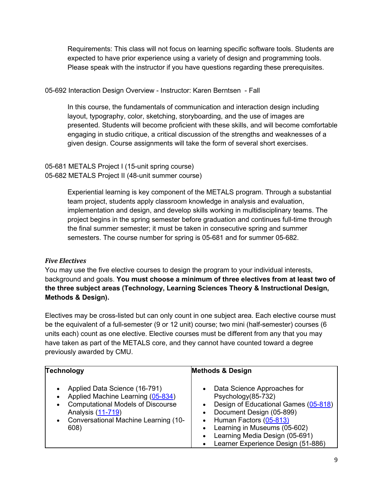Requirements: This class will not focus on learning specific software tools. Students are expected to have prior experience using a variety of design and programming tools. Please speak with the instructor if you have questions regarding these prerequisites.

# 05-692 Interaction Design Overview - Instructor: [Karen Berntsen](https://www.hcii.cmu.edu/people/karen-kornblum-berntsen) - Fall

In this course, the fundamentals of communication and interaction design including layout, typography, color, sketching, storyboarding, and the use of images are presented. Students will become proficient with these skills, and will become comfortable engaging in studio critique, a critical discussion of the strengths and weaknesses of a given design. Course assignments will take the form of several short exercises.

05-681 METALS Project I (15-unit spring course) 05-682 METALS Project II (48-unit summer course)

> Experiential learning is key component of the METALS program. Through a substantial team project, students apply classroom knowledge in analysis and evaluation, implementation and design, and develop skills working in multidisciplinary teams. The project begins in the spring semester before graduation and continues full-time through the final summer semester; it must be taken in consecutive spring and summer semesters. The course number for spring is 05-681 and for summer 05-682.

# *Five Electives*

You may use the five elective courses to design the program to your individual interests, background and goals. **You must choose a minimum of three electives from at least two of the three subject areas (Technology, Learning Sciences Theory & Instructional Design, Methods & Design).** 

Electives may be cross-listed but can only count in one subject area. Each elective course must be the equivalent of a full-semester (9 or 12 unit) course; two mini (half-semester) courses (6 units each) count as one elective. Elective courses must be different from any that you may have taken as part of the METALS core, and they cannot have counted toward a degree previously awarded by CMU.

| Technology                                                                                                                                                                                         | <b>Methods &amp; Design</b>                                                                                                                                                                                                                                          |
|----------------------------------------------------------------------------------------------------------------------------------------------------------------------------------------------------|----------------------------------------------------------------------------------------------------------------------------------------------------------------------------------------------------------------------------------------------------------------------|
| Applied Data Science (16-791)<br>Applied Machine Learning (05-834)<br><b>Computational Models of Discourse</b><br>$\bullet$<br>Analysis (11-719)<br>• Conversational Machine Learning (10-<br>608) | Data Science Approaches for<br>Psychology(85-732)<br>Design of Educational Games (05-818)<br>Document Design (05-899)<br>Human Factors (05-813)<br>$\bullet$<br>Learning in Museums (05-602)<br>Learning Media Design (05-691)<br>Learner Experience Design (51-886) |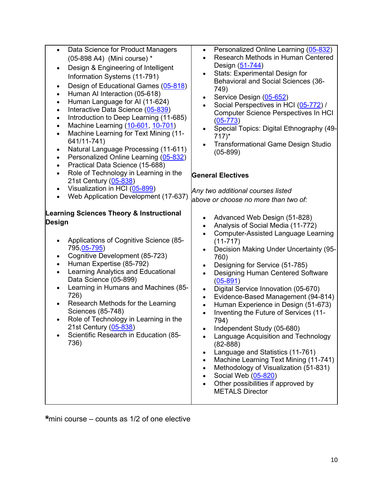| Data Science for Product Managers<br>$\bullet$<br>(05-898 A4) (Mini course) *<br>Design & Engineering of Intelligent<br>٠<br>Information Systems (11-791)<br>Design of Educational Games (05-818)<br>$\bullet$<br>Human AI Interaction (05-618)<br>٠<br>Human Language for AI (11-624)<br>$\bullet$<br>Interactive Data Science (05-839)<br>$\bullet$<br>Introduction to Deep Learning (11-685)<br>$\bullet$<br>Machine Learning (10-601, 10-701)<br>$\bullet$<br>Machine Learning for Text Mining (11-<br>$\bullet$<br>641/11-741)<br>Natural Language Processing (11-611)<br>$\bullet$<br>Personalized Online Learning (05-832)<br>$\bullet$<br>Practical Data Science (15-688)<br>Role of Technology in Learning in the<br>$\bullet$<br>21st Century (05-838)<br>Visualization in HCI (05-899)<br>$\bullet$<br>Web Application Development (17-637)<br>$\bullet$ | Personalized Online Learning (05-832)<br>$\bullet$<br>Research Methods in Human Centered<br>$\bullet$<br>Design (51-744)<br>Stats: Experimental Design for<br>$\bullet$<br>Behavioral and Social Sciences (36-<br>749)<br>Service Design (05-652)<br>$\bullet$<br>Social Perspectives in HCI (05-772) /<br>$\bullet$<br><b>Computer Science Perspectives In HCI</b><br>$(05-773)$<br>Special Topics: Digital Ethnography (49-<br>$\bullet$<br>$717$ <sup>*</sup><br><b>Transformational Game Design Studio</b><br>$\bullet$<br>$(05-899)$<br><b>General Electives</b><br>Any two additional courses listed                                                                                                                                                                                                                                                                                                                                          |
|---------------------------------------------------------------------------------------------------------------------------------------------------------------------------------------------------------------------------------------------------------------------------------------------------------------------------------------------------------------------------------------------------------------------------------------------------------------------------------------------------------------------------------------------------------------------------------------------------------------------------------------------------------------------------------------------------------------------------------------------------------------------------------------------------------------------------------------------------------------------|-----------------------------------------------------------------------------------------------------------------------------------------------------------------------------------------------------------------------------------------------------------------------------------------------------------------------------------------------------------------------------------------------------------------------------------------------------------------------------------------------------------------------------------------------------------------------------------------------------------------------------------------------------------------------------------------------------------------------------------------------------------------------------------------------------------------------------------------------------------------------------------------------------------------------------------------------------|
| <b>Learning Sciences Theory &amp; Instructional</b><br><b>Design</b><br>Applications of Cognitive Science (85-<br>٠<br>795, 05-795)<br>Cognitive Development (85-723)<br>$\bullet$<br>Human Expertise (85-792)<br>$\bullet$<br>Learning Analytics and Educational<br>$\bullet$<br>Data Science (05-899)<br>Learning in Humans and Machines (85-<br>$\bullet$<br>726)<br>Research Methods for the Learning<br>$\bullet$<br>Sciences (85-748)<br>Role of Technology in Learning in the<br>$\bullet$<br>21st Century (05-838)<br>Scientific Research in Education (85-<br>736)                                                                                                                                                                                                                                                                                         | above or choose no more than two of:<br>Advanced Web Design (51-828)<br>$\bullet$<br>Analysis of Social Media (11-772)<br>$\bullet$<br><b>Computer-Assisted Language Learning</b><br>$\bullet$<br>$(11 - 717)$<br>Decision Making Under Uncertainty (95-<br>$\bullet$<br>760)<br>Designing for Service (51-785)<br>$\bullet$<br>Designing Human Centered Software<br>$\bullet$<br>$(05 - 891)$<br>Digital Service Innovation (05-670)<br>$\bullet$<br>Evidence-Based Management (94-814)<br>$\bullet$<br>Human Experience in Design (51-673)<br>$\bullet$<br>Inventing the Future of Services (11-<br>$\bullet$<br>794)<br>Independent Study (05-680)<br>Language Acquisition and Technology<br>$(82 - 888)$<br>Language and Statistics (11-761)<br>$\bullet$<br>Machine Learning Text Mining (11-741)<br>Methodology of Visualization (51-831)<br>Social Web (05-820)<br>Other possibilities if approved by<br>$\bullet$<br><b>METALS Director</b> |

\*mini course – counts as 1/2 of one elective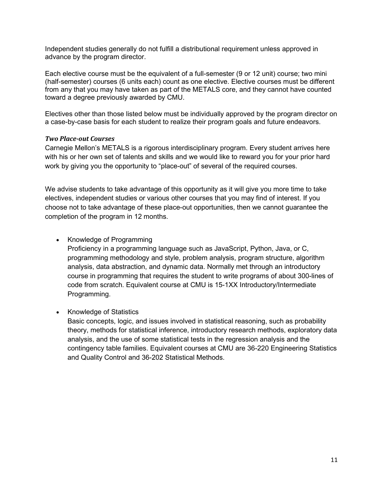Independent studies generally do not fulfill a distributional requirement unless approved in advance by the program director.

Each elective course must be the equivalent of a full-semester (9 or 12 unit) course; two mini (half-semester) courses (6 units each) count as one elective. Elective courses must be different from any that you may have taken as part of the METALS core, and they cannot have counted toward a degree previously awarded by CMU.

Electives other than those listed below must be individually approved by the program director on a case-by-case basis for each student to realize their program goals and future endeavors.

#### *Two Place-out Courses*

Carnegie Mellon's METALS is a rigorous interdisciplinary program. Every student arrives here with his or her own set of talents and skills and we would like to reward you for your prior hard work by giving you the opportunity to "place-out" of several of the required courses.

We advise students to take advantage of this opportunity as it will give you more time to take electives, independent studies or various other courses that you may find of interest. If you choose not to take advantage of these place-out opportunities, then we cannot guarantee the completion of the program in 12 months.

• Knowledge of Programming

Proficiency in a programming language such as JavaScript, Python, Java, or C, programming methodology and style, problem analysis, program structure, algorithm analysis, data abstraction, and dynamic data. Normally met through an introductory course in programming that requires the student to write programs of about 300-lines of code from scratch. Equivalent course at CMU is 15-1XX Introductory/Intermediate Programming.

• Knowledge of Statistics

Basic concepts, logic, and issues involved in statistical reasoning, such as probability theory, methods for statistical inference, introductory research methods, exploratory data analysis, and the use of some statistical tests in the regression analysis and the contingency table families. Equivalent courses at CMU are 36-220 Engineering Statistics and Quality Control and 36-202 Statistical Methods.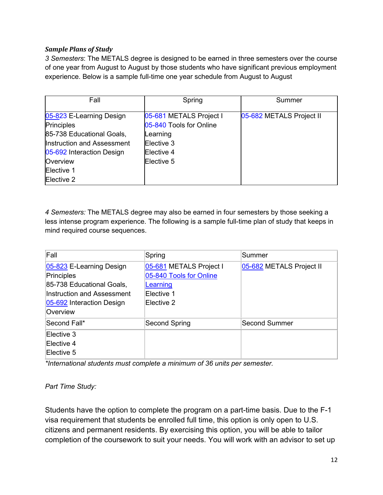# *Sample Plans of Study*

*3 Semesters*: The METALS degree is designed to be earned in three semesters over the course of one year from August to August by those students who have significant previous employment experience. Below is a sample full-time one year schedule from August to August

| Fall                       | Spring                  | Summer                   |
|----------------------------|-------------------------|--------------------------|
| 05-823 E-Learning Design   | 05-681 METALS Project I | 05-682 METALS Project II |
| <b>Principles</b>          | 05-840 Tools for Online |                          |
| 85-738 Educational Goals,  | Learning                |                          |
| Instruction and Assessment | Elective 3              |                          |
| 05-692 Interaction Design  | Elective 4              |                          |
| Overview                   | Elective 5              |                          |
| Elective 1                 |                         |                          |
| Elective 2                 |                         |                          |

*4 Semesters:* The METALS degree may also be earned in four semesters by those seeking a less intense program experience. The following is a sample full-time plan of study that keeps in mind required course sequences.

| Fall                       | Spring                  | Summer                   |
|----------------------------|-------------------------|--------------------------|
| 05-823 E-Learning Design   | 05-681 METALS Project I | 05-682 METALS Project II |
| Principles                 | 05-840 Tools for Online |                          |
| 85-738 Educational Goals,  | Learning                |                          |
| Instruction and Assessment | Elective 1              |                          |
| 05-692 Interaction Design  | Elective 2              |                          |
| Overview                   |                         |                          |
| Second Fall*               | Second Spring           | Second Summer            |
| Elective 3                 |                         |                          |
| Elective 4                 |                         |                          |
| Elective 5                 |                         |                          |

*\*International students must complete a minimum of 36 units per semester.*

#### *Part Time Study:*

Students have the option to complete the program on a part-time basis. Due to the F-1 visa requirement that students be enrolled full time, this option is only open to U.S. citizens and permanent residents. By exercising this option, you will be able to tailor completion of the coursework to suit your needs. You will work with an advisor to set up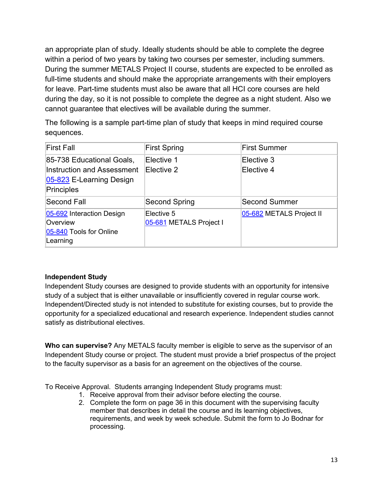an appropriate plan of study. Ideally students should be able to complete the degree within a period of two years by taking two courses per semester, including summers. During the summer METALS Project II course, students are expected to be enrolled as full-time students and should make the appropriate arrangements with their employers for leave. Part-time students must also be aware that all HCI core courses are held during the day, so it is not possible to complete the degree as a night student. Also we cannot guarantee that electives will be available during the summer.

The following is a sample part-time plan of study that keeps in mind required course sequences.

| <b>First Fall</b>                                                                                        | <b>First Spring</b>                   | <b>First Summer</b>      |  |
|----------------------------------------------------------------------------------------------------------|---------------------------------------|--------------------------|--|
| 85-738 Educational Goals,<br><b>Instruction and Assessment</b><br>05-823 E-Learning Design<br>Principles | Elective 1<br>Elective 2              | Elective 3<br>Elective 4 |  |
| Second Fall                                                                                              | Second Spring                         | <b>Second Summer</b>     |  |
| 05-692 Interaction Design<br>Overview<br>05-840 Tools for Online<br>Learning                             | Elective 5<br>05-681 METALS Project I | 05-682 METALS Project II |  |

# <span id="page-15-0"></span>**Independent Study**

Independent Study courses are designed to provide students with an opportunity for intensive study of a subject that is either unavailable or insufficiently covered in regular course work. Independent/Directed study is not intended to substitute for existing courses, but to provide the opportunity for a specialized educational and research experience. Independent studies cannot satisfy as distributional electives.

**Who can supervise?** Any METALS faculty member is eligible to serve as the supervisor of an Independent Study course or project. The student must provide a brief prospectus of the project to the faculty supervisor as a basis for an agreement on the objectives of the course.

To Receive Approval. Students arranging Independent Study programs must:

- 1. Receive approval from their advisor before electing the course.
- 2. Complete the form on page 36 in this document with the supervising faculty member that describes in detail the course and its learning objectives, requirements, and week by week schedule. Submit the form to Jo Bodnar for processing.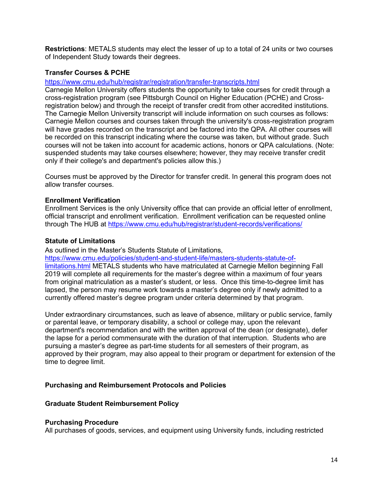**Restrictions**: METALS students may elect the lesser of up to a total of 24 units or two courses of Independent Study towards their degrees.

#### <span id="page-16-0"></span>**Transfer Courses & PCHE**

<https://www.cmu.edu/hub/registrar/registration/transfer-transcripts.html>

Carnegie Mellon University offers students the opportunity to take courses for credit through a cross-registration program (see Pittsburgh Council on Higher Education (PCHE) and Crossregistration below) and through the receipt of transfer credit from other accredited institutions. The Carnegie Mellon University transcript will include information on such courses as follows: Carnegie Mellon courses and courses taken through the university's cross-registration program will have grades recorded on the transcript and be factored into the QPA. All other courses will be recorded on this transcript indicating where the course was taken, but without grade. Such courses will not be taken into account for academic actions, honors or QPA calculations. (Note: suspended students may take courses elsewhere; however, they may receive transfer credit only if their college's and department's policies allow this.)

Courses must be approved by the Director for transfer credit. In general this program does not allow transfer courses.

#### <span id="page-16-1"></span>**Enrollment Verification**

Enrollment Services is the only University office that can provide an official letter of enrollment, official transcript and enrollment verification. Enrollment verification can be requested online through The HUB at<https://www.cmu.edu/hub/registrar/student-records/verifications/>

#### <span id="page-16-2"></span>**Statute of Limitations**

As outlined in the Master's Students Statute of Limitations, [https://www.cmu.edu/policies/student-and-student-life/masters-students-statute-of](https://www.cmu.edu/policies/student-and-student-life/masters-students-statute-of-limitations.html)[limitations.html](https://www.cmu.edu/policies/student-and-student-life/masters-students-statute-of-limitations.html) METALS students who have matriculated at Carnegie Mellon beginning Fall 2019 will complete all requirements for the master's degree within a maximum of four years from original matriculation as a master's student, or less. Once this time-to-degree limit has lapsed, the person may resume work towards a master's degree only if newly admitted to a currently offered master's degree program under criteria determined by that program.

Under extraordinary circumstances, such as leave of absence, military or public service, family or parental leave, or temporary disability, a school or college may, upon the relevant department's recommendation and with the written approval of the dean (or designate), defer the lapse for a period commensurate with the duration of that interruption. Students who are pursuing a master's degree as part-time students for all semesters of their program, as approved by their program, may also appeal to their program or department for extension of the time to degree limit.

#### <span id="page-16-3"></span>**Purchasing and Reimbursement Protocols and Policies**

#### <span id="page-16-4"></span>**Graduate Student Reimbursement Policy**

#### <span id="page-16-5"></span>**Purchasing Procedure**

All purchases of goods, services, and equipment using University funds, including restricted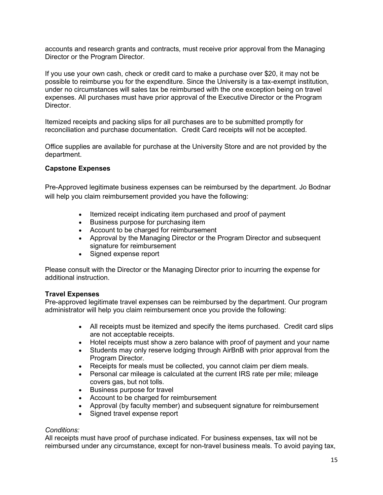accounts and research grants and contracts, must receive prior approval from the Managing Director or the Program Director.

If you use your own cash, check or credit card to make a purchase over \$20, it may not be possible to reimburse you for the expenditure. Since the University is a tax-exempt institution, under no circumstances will sales tax be reimbursed with the one exception being on travel expenses. All purchases must have prior approval of the Executive Director or the Program Director.

Itemized receipts and packing slips for all purchases are to be submitted promptly for reconciliation and purchase documentation. Credit Card receipts will not be accepted.

Office supplies are available for purchase at the University Store and are not provided by the department.

#### <span id="page-17-0"></span>**Capstone Expenses**

Pre-Approved legitimate business expenses can be reimbursed by the department. Jo Bodnar will help you claim reimbursement provided you have the following:

- Itemized receipt indicating item purchased and proof of payment
- Business purpose for purchasing item
- Account to be charged for reimbursement
- Approval by the Managing Director or the Program Director and subsequent signature for reimbursement
- Signed expense report

Please consult with the Director or the Managing Director prior to incurring the expense for additional instruction.

#### <span id="page-17-1"></span>**Travel Expenses**

Pre-approved legitimate travel expenses can be reimbursed by the department. Our program administrator will help you claim reimbursement once you provide the following:

- All receipts must be itemized and specify the items purchased. Credit card slips are not acceptable receipts.
- Hotel receipts must show a zero balance with proof of payment and your name
- Students may only reserve lodging through AirBnB with prior approval from the Program Director.
- Receipts for meals must be collected, you cannot claim per diem meals.
- Personal car mileage is calculated at the current IRS rate per mile; mileage covers gas, but not tolls.
- Business purpose for travel
- Account to be charged for reimbursement
- Approval (by faculty member) and subsequent signature for reimbursement
- Signed travel expense report

#### *Conditions:*

All receipts must have proof of purchase indicated. For business expenses, tax will not be reimbursed under any circumstance, except for non-travel business meals. To avoid paying tax,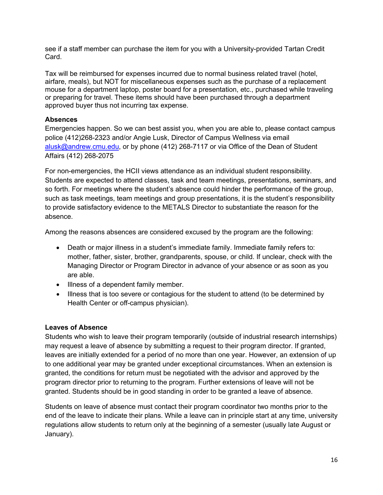see if a staff member can purchase the item for you with a University-provided Tartan Credit Card.

Tax will be reimbursed for expenses incurred due to normal business related travel (hotel, airfare, meals), but NOT for miscellaneous expenses such as the purchase of a replacement mouse for a department laptop, poster board for a presentation, etc., purchased while traveling or preparing for travel. These items should have been purchased through a department approved buyer thus not incurring tax expense.

# <span id="page-18-0"></span>**Absences**

Emergencies happen. So we can best assist you, when you are able to, please contact campus police (412)268-2323 and/or Angie Lusk, Director of Campus Wellness via email [alusk@andrew.cmu.edu,](mailto:alusk@andrew.cmu.edu) or by phone (412) 268-7117 or via Office of the Dean of Student Affairs (412) 268-2075

For non-emergencies, the HCII views attendance as an individual student responsibility. Students are expected to attend classes, task and team meetings, presentations, seminars, and so forth. For meetings where the student's absence could hinder the performance of the group, such as task meetings, team meetings and group presentations, it is the student's responsibility to provide satisfactory evidence to the METALS Director to substantiate the reason for the absence.

Among the reasons absences are considered excused by the program are the following:

- Death or major illness in a student's immediate family. Immediate family refers to: mother, father, sister, brother, grandparents, spouse, or child. If unclear, check with the Managing Director or Program Director in advance of your absence or as soon as you are able.
- Illness of a dependent family member.
- Illness that is too severe or contagious for the student to attend (to be determined by Health Center or off-campus physician).

# <span id="page-18-1"></span>**Leaves of Absence**

Students who wish to leave their program temporarily (outside of industrial research internships) may request a leave of absence by submitting a request to their program director. If granted, leaves are initially extended for a period of no more than one year. However, an extension of up to one additional year may be granted under exceptional circumstances. When an extension is granted, the conditions for return must be negotiated with the advisor and approved by the program director prior to returning to the program. Further extensions of leave will not be granted. Students should be in good standing in order to be granted a leave of absence.

Students on leave of absence must contact their program coordinator two months prior to the end of the leave to indicate their plans. While a leave can in principle start at any time, university regulations allow students to return only at the beginning of a semester (usually late August or January).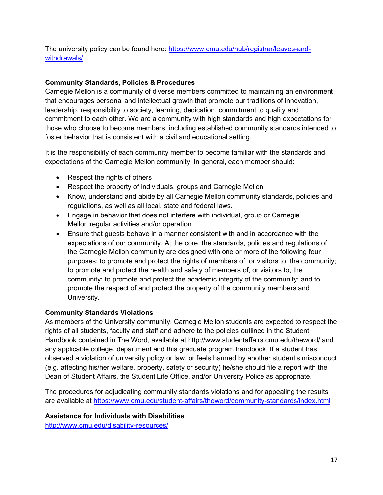The university policy can be found here: [https://www.cmu.edu/hub/registrar/leaves-and](https://www.cmu.edu/hub/registrar/leaves-and-withdrawals/)[withdrawals/](https://www.cmu.edu/hub/registrar/leaves-and-withdrawals/)

# <span id="page-19-0"></span>**Community Standards, Policies & Procedures**

Carnegie Mellon is a community of diverse members committed to maintaining an environment that encourages personal and intellectual growth that promote our traditions of innovation, leadership, responsibility to society, learning, dedication, commitment to quality and commitment to each other. We are a community with high standards and high expectations for those who choose to become members, including established community standards intended to foster behavior that is consistent with a civil and educational setting.

It is the responsibility of each community member to become familiar with the standards and expectations of the Carnegie Mellon community. In general, each member should:

- Respect the rights of others
- Respect the property of individuals, groups and Carnegie Mellon
- Know, understand and abide by all Carnegie Mellon community standards, policies and regulations, as well as all local, state and federal laws.
- Engage in behavior that does not interfere with individual, group or Carnegie Mellon regular activities and/or operation
- Ensure that guests behave in a manner consistent with and in accordance with the expectations of our community. At the core, the standards, policies and regulations of the Carnegie Mellon community are designed with one or more of the following four purposes: to promote and protect the rights of members of, or visitors to, the community; to promote and protect the health and safety of members of, or visitors to, the community; to promote and protect the academic integrity of the community; and to promote the respect of and protect the property of the community members and University.

# <span id="page-19-1"></span>**Community Standards Violations**

As members of the University community, Carnegie Mellon students are expected to respect the rights of all students, faculty and staff and adhere to the policies outlined in the Student Handbook contained in The Word, available at http://www.studentaffairs.cmu.edu/theword/ and any applicable college, department and this graduate program handbook. If a student has observed a violation of university policy or law, or feels harmed by another student's misconduct (e.g. affecting his/her welfare, property, safety or security) he/she should file a report with the Dean of Student Affairs, the Student Life Office, and/or University Police as appropriate.

The procedures for adjudicating community standards violations and for appealing the results are available at [https://www.cmu.edu/student-affairs/theword/community-standards/index.html.](https://www.cmu.edu/student-affairs/theword/community-standards/index.html)

# <span id="page-19-2"></span>**Assistance for Individuals with Disabilities**

<http://www.cmu.edu/disability-resources/>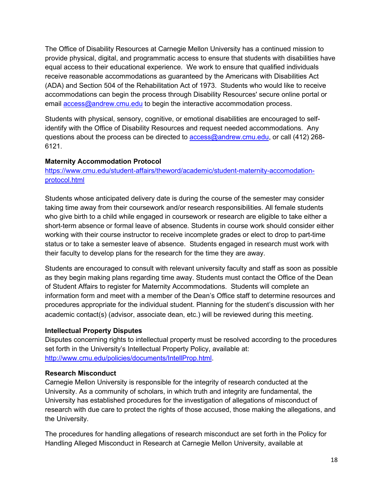The Office of Disability Resources at Carnegie Mellon University has a continued mission to provide physical, digital, and programmatic access to ensure that students with disabilities have equal access to their educational experience. We work to ensure that qualified individuals receive reasonable accommodations as guaranteed by the Americans with Disabilities Act (ADA) and Section 504 of the Rehabilitation Act of 1973. Students who would like to receive accommodations can begin the process through Disability Resources' secure online portal or email [access@andrew.cmu.edu](mailto:access@andrew.cmu.edu) to begin the interactive accommodation process.

Students with physical, sensory, cognitive, or emotional disabilities are encouraged to selfidentify with the Office of Disability Resources and request needed accommodations. Any questions about the process can be directed to **access@andrew.cmu.edu**, or call (412) 268-6121.

# <span id="page-20-0"></span>**Maternity Accommodation Protocol**

[https://www.cmu.edu/student-affairs/theword/academic/student-maternity-accomodation](https://www.cmu.edu/student-affairs/theword/academic/student-maternity-accomodation-protocol.html)[protocol.html](https://www.cmu.edu/student-affairs/theword/academic/student-maternity-accomodation-protocol.html)

Students whose anticipated delivery date is during the course of the semester may consider taking time away from their coursework and/or research responsibilities. All female students who give birth to a child while engaged in coursework or research are eligible to take either a short-term absence or formal leave of absence. Students in course work should consider either working with their course instructor to receive incomplete grades or elect to drop to part-time status or to take a semester leave of absence. Students engaged in research must work with their faculty to develop plans for the research for the time they are away.

Students are encouraged to consult with relevant university faculty and staff as soon as possible as they begin making plans regarding time away. Students must contact the Office of the Dean of Student Affairs to register for Maternity Accommodations. Students will complete an information form and meet with a member of the Dean's Office staff to determine resources and procedures appropriate for the individual student. Planning for the student's discussion with her academic contact(s) (advisor, associate dean, etc.) will be reviewed during this meeting.

#### <span id="page-20-1"></span>**Intellectual Property Disputes**

Disputes concerning rights to intellectual property must be resolved according to the procedures set forth in the University's Intellectual Property Policy, available at: [http://www.cmu.edu/policies/documents/IntellProp.html.](http://www.cmu.edu/policies/documents/IntellProp.html)

#### <span id="page-20-2"></span>**Research Misconduct**

Carnegie Mellon University is responsible for the integrity of research conducted at the University. As a community of scholars, in which truth and integrity are fundamental, the University has established procedures for the investigation of allegations of misconduct of research with due care to protect the rights of those accused, those making the allegations, and the University.

The procedures for handling allegations of research misconduct are set forth in the Policy for Handling Alleged Misconduct in Research at Carnegie Mellon University, available at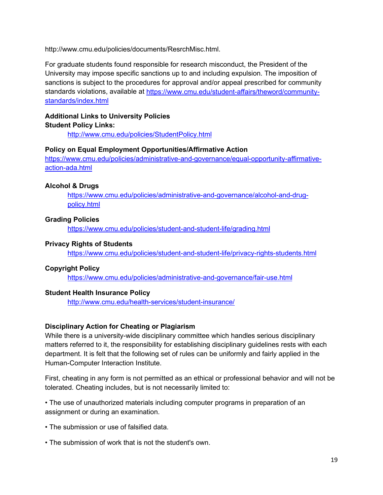http://www.cmu.edu/policies/documents/ResrchMisc.html.

For graduate students found responsible for research misconduct, the President of the University may impose specific sanctions up to and including expulsion. The imposition of sanctions is subject to the procedures for approval and/or appeal prescribed for community standards violations, available at [https://www.cmu.edu/student-affairs/theword/community](https://www.cmu.edu/student-affairs/theword/community-standards/index.html)[standards/index.html](https://www.cmu.edu/student-affairs/theword/community-standards/index.html)

# <span id="page-21-1"></span><span id="page-21-0"></span>**Additional Links to University Policies Student Policy Links:**

<http://www.cmu.edu/policies/StudentPolicy.html>

#### <span id="page-21-2"></span>**Policy on Equal Employment Opportunities/Affirmative Action**

[https://www.cmu.edu/policies/administrative-and-governance/equal-opportunity-affirmative](https://www.cmu.edu/policies/administrative-and-governance/equal-opportunity-affirmative-action-ada.html)[action-ada.html](https://www.cmu.edu/policies/administrative-and-governance/equal-opportunity-affirmative-action-ada.html)

#### <span id="page-21-3"></span>**Alcohol & Drugs**

[https://www.cmu.edu/policies/administrative-and-governance/alcohol-and-drug](https://www.cmu.edu/policies/administrative-and-governance/alcohol-and-drug-policy.html)[policy.html](https://www.cmu.edu/policies/administrative-and-governance/alcohol-and-drug-policy.html)

### <span id="page-21-4"></span>**Grading Policies**

<https://www.cmu.edu/policies/student-and-student-life/grading.html>

### <span id="page-21-5"></span>**Privacy Rights of Students**

<https://www.cmu.edu/policies/student-and-student-life/privacy-rights-students.html>

#### <span id="page-21-6"></span>**Copyright Policy**

<https://www.cmu.edu/policies/administrative-and-governance/fair-use.html>

# <span id="page-21-7"></span>**Student Health Insurance Policy**

<http://www.cmu.edu/health-services/student-insurance/>

# <span id="page-21-8"></span>**Disciplinary Action for Cheating or Plagiarism**

While there is a university-wide disciplinary committee which handles serious disciplinary matters referred to it, the responsibility for establishing disciplinary guidelines rests with each department. It is felt that the following set of rules can be uniformly and fairly applied in the Human-Computer Interaction Institute.

First, cheating in any form is not permitted as an ethical or professional behavior and will not be tolerated. Cheating includes, but is not necessarily limited to:

• The use of unauthorized materials including computer programs in preparation of an assignment or during an examination.

- The submission or use of falsified data.
- The submission of work that is not the student's own.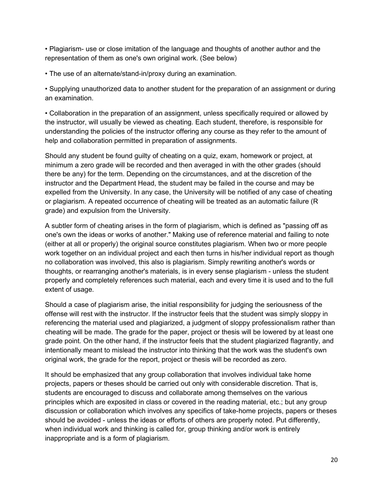• Plagiarism- use or close imitation of the language and thoughts of another author and the representation of them as one's own original work. (See below)

• The use of an alternate/stand-in/proxy during an examination.

• Supplying unauthorized data to another student for the preparation of an assignment or during an examination.

• Collaboration in the preparation of an assignment, unless specifically required or allowed by the instructor, will usually be viewed as cheating. Each student, therefore, is responsible for understanding the policies of the instructor offering any course as they refer to the amount of help and collaboration permitted in preparation of assignments.

Should any student be found guilty of cheating on a quiz, exam, homework or project, at minimum a zero grade will be recorded and then averaged in with the other grades (should there be any) for the term. Depending on the circumstances, and at the discretion of the instructor and the Department Head, the student may be failed in the course and may be expelled from the University. In any case, the University will be notified of any case of cheating or plagiarism. A repeated occurrence of cheating will be treated as an automatic failure (R grade) and expulsion from the University.

A subtler form of cheating arises in the form of plagiarism, which is defined as "passing off as one's own the ideas or works of another." Making use of reference material and failing to note (either at all or properly) the original source constitutes plagiarism. When two or more people work together on an individual project and each then turns in his/her individual report as though no collaboration was involved, this also is plagiarism. Simply rewriting another's words or thoughts, or rearranging another's materials, is in every sense plagiarism - unless the student properly and completely references such material, each and every time it is used and to the full extent of usage.

Should a case of plagiarism arise, the initial responsibility for judging the seriousness of the offense will rest with the instructor. If the instructor feels that the student was simply sloppy in referencing the material used and plagiarized, a judgment of sloppy professionalism rather than cheating will be made. The grade for the paper, project or thesis will be lowered by at least one grade point. On the other hand, if the instructor feels that the student plagiarized flagrantly, and intentionally meant to mislead the instructor into thinking that the work was the student's own original work, the grade for the report, project or thesis will be recorded as zero.

It should be emphasized that any group collaboration that involves individual take home projects, papers or theses should be carried out only with considerable discretion. That is, students are encouraged to discuss and collaborate among themselves on the various principles which are exposited in class or covered in the reading material, etc.; but any group discussion or collaboration which involves any specifics of take-home projects, papers or theses should be avoided - unless the ideas or efforts of others are properly noted. Put differently, when individual work and thinking is called for, group thinking and/or work is entirely inappropriate and is a form of plagiarism.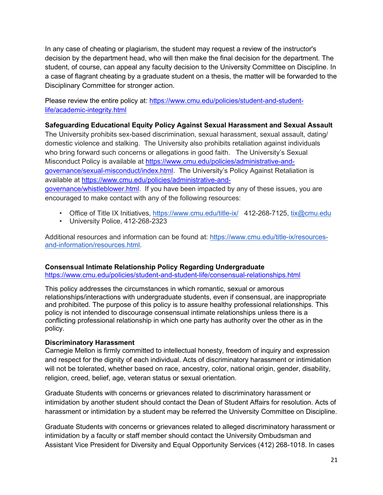In any case of cheating or plagiarism, the student may request a review of the instructor's decision by the department head, who will then make the final decision for the department. The student, of course, can appeal any faculty decision to the University Committee on Discipline. In a case of flagrant cheating by a graduate student on a thesis, the matter will be forwarded to the Disciplinary Committee for stronger action.

Please review the entire policy at: [https://www.cmu.edu/policies/student-and-student](https://www.cmu.edu/policies/student-and-student-life/academic-integrity.html)[life/academic-integrity.html](https://www.cmu.edu/policies/student-and-student-life/academic-integrity.html)

# **Safeguarding Educational Equity Policy Against Sexual Harassment and Sexual Assault**

The University prohibits sex-based discrimination, sexual harassment, sexual assault, dating/ domestic violence and stalking. The University also prohibits retaliation against individuals who bring forward such concerns or allegations in good faith. The University's Sexual Misconduct Policy is available at [https://www.cmu.edu/policies/administrative-and](https://www.cmu.edu/policies/administrative-and-governance/sexual-misconduct/index.html)[governance/sexual-misconduct/index.html.](https://www.cmu.edu/policies/administrative-and-governance/sexual-misconduct/index.html) The University's Policy Against Retaliation is available at [https://www.cmu.edu/policies/administrative-and](https://www.cmu.edu/policies/administrative-and-governance/whistleblower.html)[governance/whistleblower.html.](https://www.cmu.edu/policies/administrative-and-governance/whistleblower.html) If you have been impacted by any of these issues, you are

encouraged to make contact with any of the following resources:

- Office of Title IX Initiatives, <https://www.cmu.edu/title-ix/> 412-268-7125, [tix@cmu.edu](mailto:tix@cmu.edu)
- University Police, 412-268-2323

Additional resources and information can be found at: [https://www.cmu.edu/title-ix/resources](https://www.cmu.edu/title-ix/resources-and-information/resources.html)[and-information/resources.html.](https://www.cmu.edu/title-ix/resources-and-information/resources.html)

# **Consensual Intimate Relationship Policy Regarding Undergraduate**

<https://www.cmu.edu/policies/student-and-student-life/consensual-relationships.html>

This policy addresses the circumstances in which romantic, sexual or amorous relationships/interactions with undergraduate students, even if consensual, are inappropriate and prohibited. The purpose of this policy is to assure healthy professional relationships. This policy is not intended to discourage consensual intimate relationships unless there is a conflicting professional relationship in which one party has authority over the other as in the policy.

# **Discriminatory Harassment**

Carnegie Mellon is firmly committed to intellectual honesty, freedom of inquiry and expression and respect for the dignity of each individual. Acts of discriminatory harassment or intimidation will not be tolerated, whether based on race, ancestry, color, national origin, gender, disability, religion, creed, belief, age, veteran status or sexual orientation.

Graduate Students with concerns or grievances related to discriminatory harassment or intimidation by another student should contact the Dean of Student Affairs for resolution. Acts of harassment or intimidation by a student may be referred the University Committee on Discipline.

Graduate Students with concerns or grievances related to alleged discriminatory harassment or intimidation by a faculty or staff member should contact the University Ombudsman and Assistant Vice President for Diversity and Equal Opportunity Services (412) 268-1018. In cases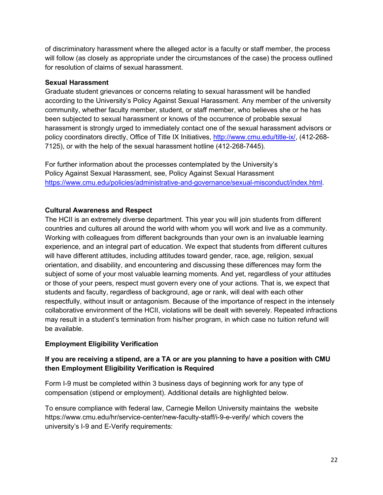of discriminatory harassment where the alleged actor is a faculty or staff member, the process will follow (as closely as appropriate under the circumstances of the case) the process outlined for resolution of claims of sexual harassment.

# <span id="page-24-0"></span>**Sexual Harassment**

Graduate student grievances or concerns relating to sexual harassment will be handled according to the University's Policy Against Sexual Harassment. Any member of the university community, whether faculty member, student, or staff member, who believes she or he has been subjected to sexual harassment or knows of the occurrence of probable sexual harassment is strongly urged to immediately contact one of the sexual harassment advisors or policy coordinators directly, Office of Title IX Initiatives, [http://www.cmu.edu/title-ix/,](http://www.cmu.edu/title-ix/) (412-268- 7125), or with the help of the sexual harassment hotline (412-268-7445).

For further information about the processes contemplated by the University's Policy Against Sexual Harassment, see, Policy Against Sexual Harassment <https://www.cmu.edu/policies/administrative-and-governance/sexual-misconduct/index.html>.

# <span id="page-24-1"></span>**Cultural Awareness and Respect**

The HCII is an extremely diverse department. This year you will join students from different countries and cultures all around the world with whom you will work and live as a community. Working with colleagues from different backgrounds than your own is an invaluable learning experience, and an integral part of education. We expect that students from different cultures will have different attitudes, including attitudes toward gender, race, age, religion, sexual orientation, and disability, and encountering and discussing these differences may form the subject of some of your most valuable learning moments. And yet, regardless of your attitudes or those of your peers, respect must govern every one of your actions. That is, we expect that students and faculty, regardless of background, age or rank, will deal with each other respectfully, without insult or antagonism. Because of the importance of respect in the intensely collaborative environment of the HCII, violations will be dealt with severely. Repeated infractions may result in a student's termination from his/her program, in which case no tuition refund will be available.

# **Employment Eligibility Verification**

# **If you are receiving a stipend, are a TA or are you planning to have a position with CMU then Employment Eligibility Verification is Required**

Form I-9 must be completed within 3 business days of beginning work for any type of compensation (stipend or employment). Additional details are highlighted below.

To ensure compliance with federal law, Carnegie Mellon University maintains the [website](https://www.cmu.edu/hr/assets/hr/restrict/employment-eligibility-verification-policy.pdf)  [https://www.cmu.edu/hr/service-center/new-faculty-staff/i-9-e-verify/](https://www.cmu.edu/hr/assets/hr/restrict/employment-eligibility-verification-policy.pdf) which covers the university's I-9 and E-Verify requirements: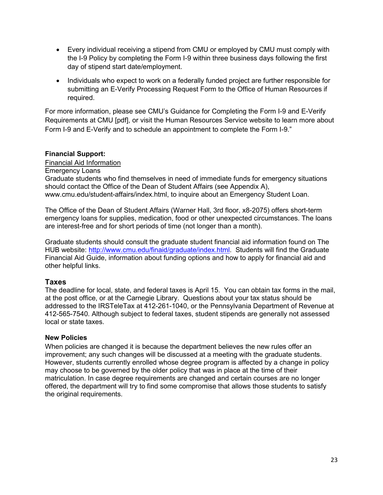- Every individual receiving a stipend from CMU or employed by CMU must comply with the I-9 Policy by completing the Form I-9 within three business days following the first day of stipend start date/employment.
- Individuals who expect to work on a federally funded project are further responsible for submitting an E-Verify Processing Request Form to the Office of Human Resources if required.

For more information, please see CMU's Guidance for Completing the Form I-9 and E-Verify Requirements at CMU [pdf], or visit the Human Resources Service website to learn more about Form I-9 and E-Verify and to schedule an appointment to complete the Form I-9."

# <span id="page-25-0"></span>**Financial Support:**

Financial Aid [Information](http://www.cmu.edu/finaid/) Emergency Loans Graduate students who find themselves in need of immediate funds for emergency situations should contact the Office of the Dean of Student Affairs (see Appendix A), www.cmu.edu/student-affairs/index.html, to inquire about an Emergency Student Loan.

The Office of the Dean of Student Affairs (Warner Hall, 3rd floor, x8-2075) offers short-term emergency loans for supplies, medication, food or other unexpected circumstances. The loans are interest-free and for short periods of time (not longer than a month).

Graduate students should consult the graduate student financial aid information found on The HUB website: [http://www.cmu.edu/finaid/graduate/index.html.](http://www.cmu.edu/finaid/graduate/index.html) Students will find the Graduate Financial Aid Guide, information about funding options and how to apply for financial aid and other helpful links.

# <span id="page-25-1"></span>**Taxes**

The deadline for local, state, and federal taxes is April 15. You can obtain tax forms in the mail, at the post office, or at the Carnegie Library. Questions about your tax status should be addressed to the IRSTeleTax at 412-261-1040, or the Pennsylvania Department of Revenue at 412-565-7540. Although subject to federal taxes, student stipends are generally not assessed local or state taxes.

#### <span id="page-25-2"></span>**New Policies**

When policies are changed it is because the department believes the new rules offer an improvement; any such changes will be discussed at a meeting with the graduate students. However, students currently enrolled whose degree program is affected by a change in policy may choose to be governed by the older policy that was in place at the time of their matriculation. In case degree requirements are changed and certain courses are no longer offered, the department will try to find some compromise that allows those students to satisfy the original requirements.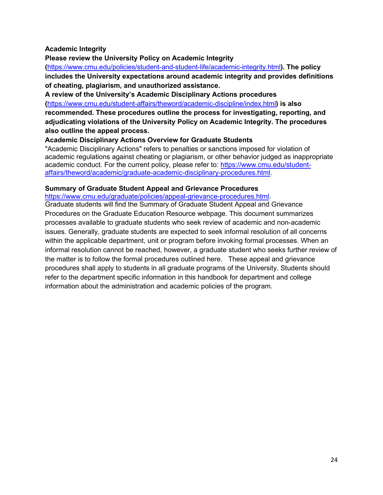# <span id="page-26-0"></span>**Academic Integrity**

**Please review the University Policy on Academic Integrity** 

**(**<https://www.cmu.edu/policies/student-and-student-life/academic-integrity.html>**). The policy includes the University expectations around academic integrity and provides definitions of cheating, plagiarism, and unauthorized assistance.** 

**A review of the University's Academic Disciplinary Actions procedures (**<https://www.cmu.edu/student-affairs/theword/academic-discipline/index.html>**) is also** 

**recommended. These procedures outline the process for investigating, reporting, and adjudicating violations of the University Policy on Academic Integrity. The procedures also outline the appeal process.**

#### <span id="page-26-1"></span>**Academic Disciplinary Actions Overview for Graduate Students**

"Academic Disciplinary Actions" refers to penalties or sanctions imposed for violation of academic regulations against cheating or plagiarism, or other behavior judged as inappropriate academic conduct. For the current policy, please refer to: [https://www.cmu.edu/student](https://www.cmu.edu/student-affairs/theword/academic/graduate-academic-disciplinary-procedures.html)[affairs/theword/academic/graduate-academic-disciplinary-procedures.html.](https://www.cmu.edu/student-affairs/theword/academic/graduate-academic-disciplinary-procedures.html)

#### <span id="page-26-2"></span>**Summary of Graduate Student Appeal and Grievance Procedures**

[https://www.cmu.edu/graduate/policies/appeal-grievance-procedures.html.](https://www.cmu.edu/graduate/policies/appeal-grievance-procedures.html)

Graduate students will find the Summary of Graduate Student Appeal and Grievance Procedures on the Graduate Education Resource webpage. This document summarizes processes available to graduate students who seek review of academic and non-academic issues. Generally, graduate students are expected to seek informal resolution of all concerns within the applicable department, unit or program before invoking formal processes. When an informal resolution cannot be reached, however, a graduate student who seeks further review of the matter is to follow the formal procedures outlined here. These appeal and grievance procedures shall apply to students in all graduate programs of the University. Students should refer to the department specific information in this handbook for department and college information about the administration and academic policies of the program.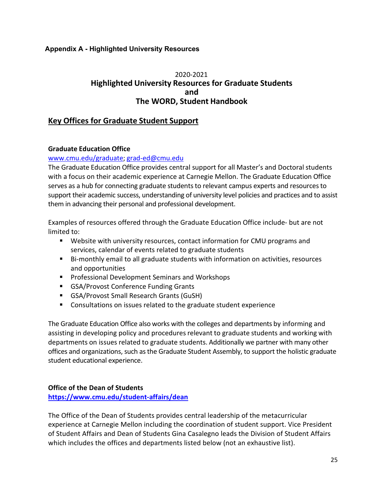# <span id="page-27-0"></span>**Appendix A - Highlighted University Resources**

# 2020-2021 **Highlighted University Resources for Graduate Students and The WORD, Student Handbook**

# **Key Offices for Graduate Student Support**

### **Graduate Education Office**

### [www.cmu.edu/graduate;](http://www.cmu.edu/graduate) [grad-ed@cmu.edu](mailto:grad-ed@cmu.edu)

The Graduate Education Office provides central support for all Master's and Doctoral students with a focus on their academic experience at Carnegie Mellon. The Graduate Education Office serves as a hub for connecting graduate students to relevant campus experts and resources to support their academic success, understanding of university level policies and practices and to assist them in advancing their personal and professional development.

Examples of resources offered through the Graduate Education Office include- but are not limited to:

- Website with university resources, contact information for CMU programs and services, calendar of events related to graduate students
- Bi-monthly email to all graduate students with information on activities, resources and opportunities
- **Professional Development Seminars and Workshops**
- GSA/Provost Conference Funding Grants
- GSA/Provost Small Research Grants (GuSH)
- Consultations on issues related to the graduate student experience

The Graduate Education Office also works with the colleges and departments by informing and assisting in developing policy and procedures relevant to graduate students and working with departments on issues related to graduate students. Additionally we partner with many other offices and organizations, such as the Graduate Student Assembly, to support the holistic graduate student educational experience.

# **Office of the Dean of Students**

**<https://www.cmu.edu/student-affairs/dean>**

The Office of the Dean of Students provides central leadership of the metacurricular experience at Carnegie Mellon including the coordination of student support. Vice President of Student Affairs and Dean of Students Gina Casalegno leads the Division of Student Affairs which includes the offices and departments listed below (not an exhaustive list).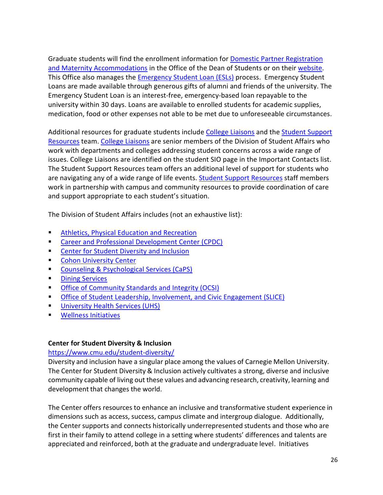Graduate students will find the enrollment information for [Domestic Partner Registration](https://www.cmu.edu/student-affairs/dean/domestic-partner/index.html) [and Maternity Accommodations](https://www.cmu.edu/student-affairs/dean/loans/index.html) in the Office of the Dean of Students or on their [website.](https://www.cmu.edu/student-affairs/dean) This Office also manages the [Emergency Student Loan \(ESLs\)](https://www.cmu.edu/student-affairs/dean/loans/index.html) process. Emergency Student Loans are made available through generous gifts of alumni and friends of the university. The Emergency Student Loan is an interest-free, emergency-based loan repayable to the university within 30 days. Loans are available to enrolled students for academic supplies, medication, food or other expenses not able to be met due to unforeseeable circumstances.

Additional resources for graduate students include [College Liaisons](https://www.cmu.edu/student-affairs/resources/index.html#liaisons) and the Student Support [Resources](https://www.cmu.edu/student-affairs/resources/index.html#team) team. [College Liaisons](https://www.cmu.edu/student-affairs/resources/index.html#liaisons) are senior members of the Division of Student Affairs who work with departments and colleges addressing student concerns across a wide range of issues. College Liaisons are identified on the student SIO page in the Important Contacts list. The Student Support Resources team offers an additional level of support for students who are navigating any of a wide range of life events. **Student Support Resources** staff members work in partnership with campus and community resources to provide coordination of care and support appropriate to each student's situation.

The Division of Student Affairs includes (not an exhaustive list):

- **[Athletics, Physical Education and Recreation](http://athletics.cmu.edu/landing/index)**
- **[Career and Professional Development Center \(CPDC\)](https://www.cmu.edu/career/)**
- [Center for Student Diversity and Inclusion](https://www.cmu.edu/student-diversity/index.html)
- [Cohon University Center](https://www.cmu.edu/cohon-university-center/)
- [Counseling & Psychological Services \(CaPS\)](https://www.cmu.edu/counseling/resources/index.html)
- **[Dining Services](https://www.cmu.edu/dining/)**
- [Office of Community Standards and Integrity \(OCSI\)](https://www.cmu.edu/student-affairs/ocsi/students/index.html)
- [Office of Student Leadership, Involvement, and Civic Engagement \(SLICE\)](https://www.cmu.edu/student-affairs/slice/)
- [University Health Services \(UHS\)](https://www.cmu.edu/health-services/)
- [Wellness Initiatives](https://www.cmu.edu/wellness/)

# **Center for Student Diversity & Inclusion**

# <https://www.cmu.edu/student-diversity/>

Diversity and inclusion have a singular place among the values of Carnegie Mellon University. The Center for Student Diversity & Inclusion actively cultivates a strong, diverse and inclusive community capable of living out these values and advancing research, creativity, learning and development that changes the world.

The Center offers resources to enhance an inclusive and transformative student experience in dimensions such as access, success, campus climate and intergroup dialogue. Additionally, the Center supports and connects historically underrepresented students and those who are first in their family to attend college in a setting where students' differences and talents are appreciated and reinforced, both at the graduate and undergraduate level. Initiatives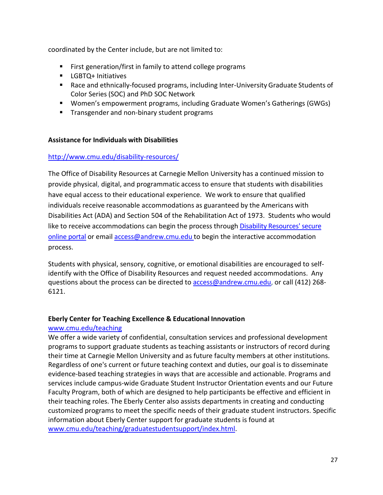coordinated by the Center include, but are not limited to:

- First generation/first in family to attend college programs
- **LGBTQ+ Initiatives**
- Race and ethnically-focused programs, including Inter-University Graduate Students of Color Series (SOC) and PhD SOC Network
- Women's empowerment programs, including Graduate Women's Gatherings (GWGs)
- **Transgender and non-binary student programs**

### **Assistance for Individuals with Disabilities**

### <http://www.cmu.edu/disability-resources/>

The Office of Disability Resources at Carnegie Mellon University has a continued mission to provide physical, digital, and programmatic access to ensure that students with disabilities have equal access to their educational experience. We work to ensure that qualified individuals receive reasonable accommodations as guaranteed by the Americans with Disabilities Act (ADA) and Section 504 of the Rehabilitation Act of 1973. Students who would like to receive accommodations can begin the process through Disability Resources' secure [online portal](https://rainier.accessiblelearning.com/cmu/) or email [access@andrew.cmu.edu](mailto:access@andrew.cmu.edu) to begin the interactive accommodation process.

Students with physical, sensory, cognitive, or emotional disabilities are encouraged to selfidentify with the Office of Disability Resources and request needed accommodations. Any questions about the process can be directed t[o access@andrew.cmu.edu,](mailto:access@andrew.cmu.edu) or call (412) 268- 6121.

#### **Eberly Center for Teaching Excellence & Educational Innovation**

#### [www.cmu.edu/teaching](http://www.cmu.edu/teaching)

We offer a wide variety of confidential, consultation services and professional development programs to support graduate students as teaching assistants or instructors of record during their time at Carnegie Mellon University and as future faculty members at other institutions. Regardless of one's current or future teaching context and duties, our goal is to disseminate evidence-based teaching strategies in ways that are accessible and actionable. Programs and services include campus-wide Graduate Student Instructor Orientation events and our Future Faculty Program, both of which are designed to help participants be effective and efficient in their teaching roles. The Eberly Center also assists departments in creating and conducting customized programs to meet the specific needs of their graduate student instructors. Specific information about Eberly Center support for graduate students is found at [www.cmu.edu/teaching/graduatestudentsupport/index.html.](http://www.cmu.edu/teaching/graduatestudentsupport/index.html)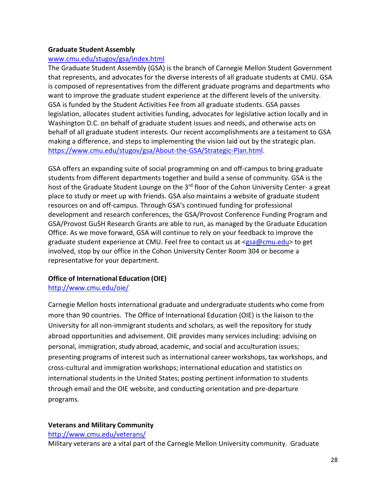#### **Graduate Student Assembly**

#### [www.cmu.edu/stugov/gsa/index.html](http://www.cmu.edu/stugov/gsa/index.html)

The Graduate Student Assembly (GSA) is the branch of Carnegie Mellon Student Government that represents, and advocates for the diverse interests of all graduate students at CMU. GSA is composed of representatives from the different graduate programs and departments who want to improve the graduate student experience at the different levels of the university. GSA is funded by the Student Activities Fee from all graduate students. GSA passes legislation, allocates student activities funding, advocates for legislative action locally and in Washington D.C. on behalf of graduate student issues and needs, and otherwise acts on behalf of all graduate student interests. Our recent accomplishments are a testament to GSA making a difference, and steps to implementing the vision laid out by the strategic plan. [https://www.cmu.edu/stugov/gsa/About-the-GSA/Strategic-Plan.html.](https://www.cmu.edu/stugov/gsa/About-the-GSA/Strategic-Plan.html)

GSA offers an expanding suite of social programming on and off-campus to bring graduate students from different departments together and build a sense of community. GSA is the host of the Graduate Student Lounge on the 3<sup>rd</sup> floor of the Cohon University Center- a great place to study or meet up with friends. GSA also maintains a website of graduate student resources on and off-campus. Through GSA's continued funding for professional development and research conferences, the GSA/Provost Conference Funding Program and GSA/Provost GuSH Research Grants are able to run, as managed by the Graduate Education Office. As we move forward, GSA will continue to rely on your feedback to improve the graduate student experience at CMU. Feel free to contact us at [<gsa@cmu.edu>](mailto:gsa@andrew.cmu.edu) to get involved, stop by our office in the Cohon University Center Room 304 or become a representative for your department.

#### **Office of International Education (OIE)**

<http://www.cmu.edu/oie/>

Carnegie Mellon hosts international graduate and undergraduate students who come from more than 90 countries. The Office of International Education (OIE) is the liaison to the University for all non-immigrant students and scholars, as well the repository for study abroad opportunities and advisement. OIE provides many services including: advising on personal, immigration, study abroad, academic, and social and acculturation issues; presenting programs of interest such as international career workshops, tax workshops, and cross-cultural and immigration workshops; international education and statistics on international students in the United States; posting pertinent information to students through email and the OIE website, and conducting orientation and pre-departure programs.

# **Veterans and Military Community**

<http://www.cmu.edu/veterans/>

Military veterans are a vital part of the Carnegie Mellon University community. Graduate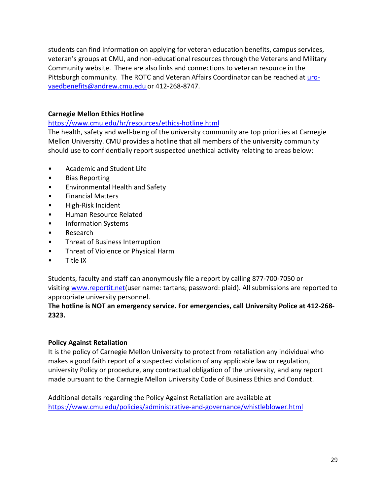students can find information on applying for veteran education benefits, campus services, veteran's groups at CMU, and non-educational resources through the Veterans and Military Community website. There are also links and connections to veteran resource in the Pittsburgh community. The ROTC and Veteran Affairs Coordinator can be reached at [uro](mailto:uro-vaedbenefits@andrew.cmu.edu)[vaedbenefits@andrew.cmu.edu](mailto:uro-vaedbenefits@andrew.cmu.edu) or 412-268-8747.

# **Carnegie Mellon Ethics Hotline**

# <https://www.cmu.edu/hr/resources/ethics-hotline.html>

The health, safety and well-being of the university community are top priorities at Carnegie Mellon University. CMU provides a hotline that all members of the university community should use to confidentially report suspected unethical activity relating to areas below:

- Academic and Student Life
- Bias Reporting
- Environmental Health and Safety
- Financial Matters
- High-Risk Incident
- Human Resource Related
- Information Systems
- Research
- Threat of Business Interruption
- Threat of Violence or Physical Harm
- Title IX

Students, faculty and staff can anonymously file a report by calling 877-700-7050 or visiting [www.reportit.net\(](http://www.reportit.net/)user name: tartans; password: plaid). All submissions are reported to appropriate university personnel.

# **The hotline is NOT an emergency service. For emergencies, call University Police at 412-268- 2323.**

# **Policy Against Retaliation**

It is the policy of Carnegie Mellon University to protect from retaliation any individual who makes a good faith report of a suspected violation of any applicable law or regulation, university Policy or procedure, any contractual obligation of the university, and any report made pursuant to the Carnegie Mellon University Code of Business Ethics and Conduct.

Additional details regarding the Policy Against Retaliation are available at <https://www.cmu.edu/policies/administrative-and-governance/whistleblower.html>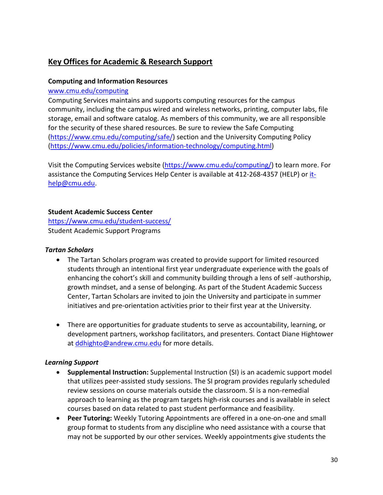# **Key Offices for Academic & Research Support**

# **Computing and Information Resources**

#### [www.cmu.edu/computing](http://www.cmu.edu/computing)

Computing Services maintains and supports computing resources for the campus community, including the campus wired and wireless networks, printing, computer labs, file storage, email and software catalog. As members of this community, we are all responsible for the security of these shared resources. Be sure to review the Safe Computing [\(https://www.cmu.edu/computing/safe/\)](https://www.cmu.edu/computing/safe/) section and the University Computing Policy [\(https://www.cmu.edu/policies/information-technology/computing.html\)](https://www.cmu.edu/policies/information-technology/computing.html)

Visit the Computing Services website [\(https://www.cmu.edu/computing/\)](https://www.cmu.edu/computing/) to learn more. For assistance the Computing Services Help Center is available at 412-268-4357 (HELP) or [it](mailto:it-help@cmu.edu)[help@cmu.edu.](mailto:it-help@cmu.edu)

### **Student Academic Success Center**

<https://www.cmu.edu/student-success/> Student Academic Support Programs

#### *Tartan Scholars*

- The Tartan Scholars program was created to provide support for limited resourced students through an intentional first year undergraduate experience with the goals of enhancing the cohort's skill and community building through a lens of self -authorship, growth mindset, and a sense of belonging. As part of the Student Academic Success Center, Tartan Scholars are invited to join the University and participate in summer initiatives and pre-orientation activities prior to their first year at the University.
- There are opportunities for graduate students to serve as accountability, learning, or development partners, workshop facilitators, and presenters. Contact Diane Hightower at [ddhighto@andrew.cmu.edu](mailto:ddhighto@andrew.cmu.edu) for more details.

# *Learning Support*

- **Supplemental Instruction:** Supplemental Instruction (SI) is an academic support model that utilizes peer-assisted study sessions. The SI program provides regularly scheduled review sessions on course materials outside the classroom. SI is a non-remedial approach to learning as the program targets high-risk courses and is available in select courses based on data related to past student performance and feasibility.
- **Peer Tutoring:** Weekly Tutoring Appointments are offered in a one-on-one and small group format to students from any discipline who need assistance with a course that may not be supported by our other services. Weekly appointments give students the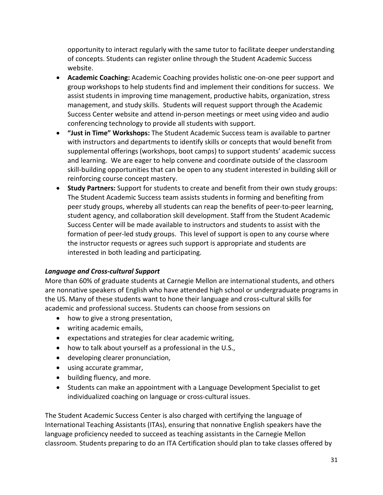opportunity to interact regularly with the same tutor to facilitate deeper understanding of concepts. Students can register online through the Student Academic Success website.

- **Academic Coaching:** Academic Coaching provides holistic one-on-one peer support and group workshops to help students find and implement their conditions for success. We assist students in improving time management, productive habits, organization, stress management, and study skills. Students will request support through the Academic Success Center website and attend in-person meetings or meet using video and audio conferencing technology to provide all students with support.
- **"Just in Time" Workshops:** The Student Academic Success team is available to partner with instructors and departments to identify skills or concepts that would benefit from supplemental offerings (workshops, boot camps) to support students' academic success and learning. We are eager to help convene and coordinate outside of the classroom skill-building opportunities that can be open to any student interested in building skill or reinforcing course concept mastery.
- **Study Partners:** Support for students to create and benefit from their own study groups: The Student Academic Success team assists students in forming and benefiting from peer study groups, whereby all students can reap the benefits of peer-to-peer learning, student agency, and collaboration skill development. Staff from the Student Academic Success Center will be made available to instructors and students to assist with the formation of peer-led study groups. This level of support is open to any course where the instructor requests or agrees such support is appropriate and students are interested in both leading and participating.

# *Language and Cross-cultural Support*

More than 60% of graduate students at Carnegie Mellon are international students, and others are nonnative speakers of English who have attended high school or undergraduate programs in the US. Many of these students want to hone their language and cross-cultural skills for academic and professional success. Students can choose from sessions on

- how to give a strong presentation,
- writing academic emails,
- expectations and strategies for clear academic writing,
- how to talk about yourself as a professional in the U.S.,
- developing clearer pronunciation,
- using accurate grammar,
- building fluency, and more.
- Students can make an appointment with a Language Development Specialist to get individualized coaching on language or cross-cultural issues.

The Student Academic Success Center is also charged with certifying the language of International Teaching Assistants (ITAs), ensuring that nonnative English speakers have the language proficiency needed to succeed as teaching assistants in the Carnegie Mellon classroom. Students preparing to do an ITA Certification should plan to take classes offered by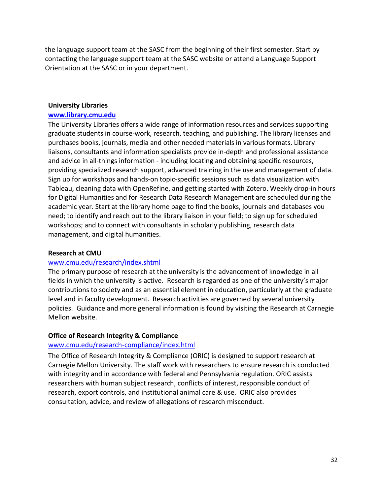the language support team at the SASC from the beginning of their first semester. Start by contacting the language support team at the SASC website or attend a Language Support Orientation at the SASC or in your department.

#### **University Libraries**

#### **[www.library.cmu.edu](http://www.library.cmu.edu/)**

The University Libraries offers a wide range of information resources and services supporting graduate students in course-work, research, teaching, and publishing. The library licenses and purchases books, journals, media and other needed materials in various formats. Library liaisons, consultants and information specialists provide in-depth and professional assistance and advice in all-things information - including locating and obtaining specific resources, providing specialized research support, advanced training in the use and management of data. Sign up for workshops and hands-on topic-specific sessions such as data visualization with Tableau, cleaning data with OpenRefine, and getting started with Zotero. Weekly drop-in hours for Digital Humanities and for Research Data Research Management are scheduled during the academic year. Start at the library home page to find the books, journals and databases you need; to identify and reach out to the library liaison in your field; to sign up for scheduled workshops; and to connect with consultants in scholarly publishing, research data management, and digital humanities.

#### **Research at CMU**

#### [www.cmu.edu/research/index.shtml](http://www.cmu.edu/research/index.shtml)

The primary purpose of research at the university is the advancement of knowledge in all fields in which the university is active. Research is regarded as one of the university's major contributions to society and as an essential element in education, particularly at the graduate level and in faculty development. Research activities are governed by several university policies. Guidance and more general information is found by visiting the Research at Carnegie Mellon website.

#### **Office of Research Integrity & Compliance**

#### [www.cmu.edu/research-compliance/index.html](http://www.cmu.edu/research-compliance/index.html)

The Office of Research Integrity & Compliance (ORIC) is designed to support research at Carnegie Mellon University. The staff work with researchers to ensure research is conducted with integrity and in accordance with federal and Pennsylvania regulation. ORIC assists researchers with human subject research, conflicts of interest, responsible conduct of research, export controls, and institutional animal care & use. ORIC also provides consultation, advice, and review of allegations of research misconduct.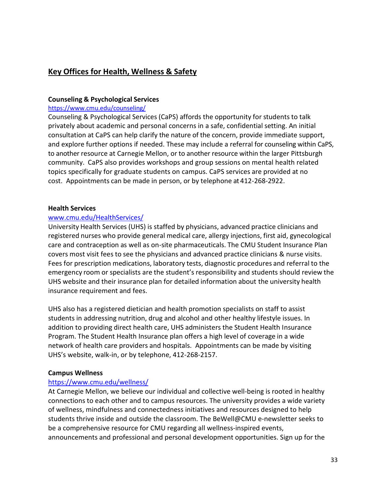# **Key Offices for Health, Wellness & Safety**

### **Counseling & Psychological Services**

#### <https://www.cmu.edu/counseling/>

Counseling & Psychological Services (CaPS) affords the opportunity for students to talk privately about academic and personal concerns in a safe, confidential setting. An initial consultation at CaPS can help clarify the nature of the concern, provide immediate support, and explore further options if needed. These may include a referral for counseling within CaPS, to another resource at Carnegie Mellon, or to another resource within the larger Pittsburgh community. CaPS also provides workshops and group sessions on mental health related topics specifically for graduate students on campus. CaPS services are provided at no cost. Appointments can be made in person, or by telephone at 412-268-2922.

#### **Health Services**

#### [www.cmu.edu/HealthServices/](http://www.cmu.edu/HealthServices/)

University Health Services (UHS) is staffed by physicians, advanced practice clinicians and registered nurses who provide general medical care, allergy injections, first aid, gynecological care and contraception as well as on-site pharmaceuticals. The CMU Student Insurance Plan covers most visit fees to see the physicians and advanced practice clinicians & nurse visits. Fees for prescription medications, laboratory tests, diagnostic procedures and referral to the emergency room or specialists are the student's responsibility and students should review the UHS website and their insurance plan for detailed information about the university health insurance requirement and fees.

UHS also has a registered dietician and health promotion specialists on staff to assist students in addressing nutrition, drug and alcohol and other healthy lifestyle issues. In addition to providing direct health care, UHS administers the Student Health Insurance Program. The Student Health Insurance plan offers a high level of coverage in a wide network of health care providers and hospitals. Appointments can be made by visiting UHS's website, walk-in, or by telephone, 412-268-2157.

#### **Campus Wellness**

#### <https://www.cmu.edu/wellness/>

At Carnegie Mellon, we believe our individual and collective well-being is rooted in healthy connections to each other and to campus resources. The university provides a wide variety of wellness, mindfulness and connectedness initiatives and resources designed to help students thrive inside and outside the classroom. The BeWell@CMU e-newsletter seeks to be a comprehensive resource for CMU regarding all wellness-inspired events, announcements and professional and personal development opportunities. Sign up for the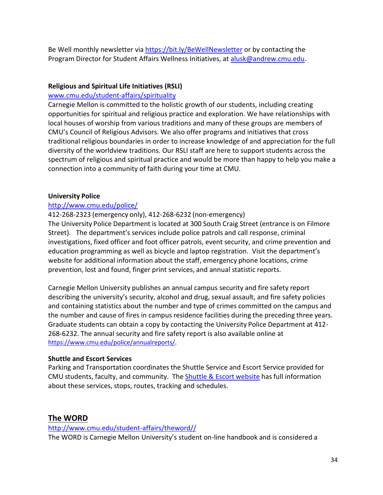Be Well monthly newsletter via<https://bit.ly/BeWellNewsletter> or by contacting the Program Director for Student Affairs Wellness Initiatives, at [alusk@andrew.cmu.edu.](mailto:alusk@andrew.cmu.edu)

### **Religious and Spiritual Life Initiatives (RSLI)**

#### [www.cmu.edu/student-affairs/spirituality](http://www.cmu.edu/student-affairs/spirituality)

Carnegie Mellon is committed to the holistic growth of our students, including creating opportunities for spiritual and religious practice and exploration. We have relationships with local houses of worship from various traditions and many of these groups are members of CMU's Council of Religious Advisors. We also offer programs and initiatives that cross traditional religious boundaries in order to increase knowledge of and appreciation for the full diversity of the worldview traditions. Our RSLI staff are here to support students across the spectrum of religious and spiritual practice and would be more than happy to help you make a connection into a community of faith during your time at CMU.

#### **University Police**

#### <http://www.cmu.edu/police/>

412-268-2323 (emergency only), 412-268-6232 (non-emergency) The University Police Department is located at 300 South Craig Street (entrance is on Filmore Street). The department's services include police patrols and call response, criminal investigations, fixed officer and foot officer patrols, event security, and crime prevention and education programming as well as bicycle and laptop registration. Visit the department's website for additional information about the staff, emergency phone locations, crime prevention, lost and found, finger print services, and annual statistic reports.

Carnegie Mellon University publishes an annual campus security and fire safety report describing the university's security, alcohol and drug, sexual assault, and fire safety policies and containing statistics about the number and type of crimes committed on the campus and the number and cause of fires in campus residence facilities during the preceding three years. Graduate students can obtain a copy by contacting the University Police Department at 412- 268-6232. The annual security and fire safety report is also available online at [https://www.cmu.edu/police/annualreports/.](https://www.cmu.edu/police/annualreports/)

#### **Shuttle and Escort Services**

Parking and Transportation coordinates the Shuttle Service and Escort Service provided for CMU students, faculty, and community. The Shuttle [& Escort](https://www.cmu.edu/parking/shuttle/index.html) website has full information about these services, stops, routes, tracking and schedules.

# **The WORD**

[http://www.cmu.edu/student-affairs/theword//](http://www.cmu.edu/student-affairs/theword/) The WORD is Carnegie Mellon University's student on-line handbook and is considered a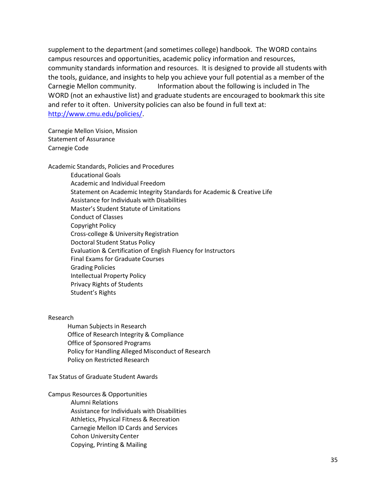supplement to the department (and sometimes college) handbook. The WORD contains campus resources and opportunities, academic policy information and resources, community standards information and resources. It is designed to provide all students with the tools, guidance, and insights to help you achieve your full potential as a member of the Carnegie Mellon community. Information about the following is included in The WORD (not an exhaustive list) and graduate students are encouraged to bookmark this site and refer to it often. University policies can also be found in full text at: [http://www.cmu.edu/policies/.](http://www.cmu.edu/policies/)

Carnegie Mellon Vision, Mission Statement of Assurance Carnegie Code

Academic Standards, Policies and Procedures Educational Goals Academic and Individual Freedom Statement on Academic Integrity Standards for Academic & Creative Life Assistance for Individuals with Disabilities Master's Student Statute of Limitations Conduct of Classes Copyright Policy Cross-college & University Registration Doctoral Student Status Policy Evaluation & Certification of English Fluency for Instructors Final Exams for Graduate Courses Grading Policies Intellectual Property Policy Privacy Rights of Students Student's Rights

Research

Human Subjects in Research Office of Research Integrity & Compliance Office of Sponsored Programs Policy for Handling Alleged Misconduct of Research Policy on Restricted Research

Tax Status of Graduate Student Awards

Campus Resources & Opportunities Alumni Relations

Assistance for Individuals with Disabilities

Athletics, Physical Fitness & Recreation

Carnegie Mellon ID Cards and Services

Cohon University Center

Copying, Printing & Mailing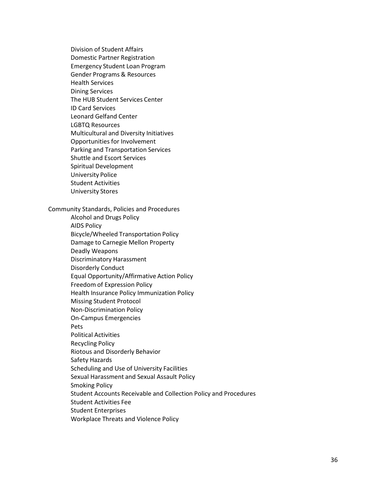Division of Student Affairs Domestic Partner Registration Emergency Student Loan Program Gender Programs & Resources Health Services Dining Services The HUB Student Services Center ID Card Services Leonard Gelfand Center LGBTQ Resources Multicultural and Diversity Initiatives Opportunities for Involvement Parking and Transportation Services Shuttle and Escort Services Spiritual Development University Police Student Activities University Stores

Community Standards, Policies and Procedures

Alcohol and Drugs Policy AIDS Policy Bicycle/Wheeled Transportation Policy Damage to Carnegie Mellon Property Deadly Weapons Discriminatory Harassment Disorderly Conduct Equal Opportunity/Affirmative Action Policy Freedom of Expression Policy Health Insurance Policy Immunization Policy Missing Student Protocol Non-Discrimination Policy On-Campus Emergencies Pets Political Activities Recycling Policy Riotous and Disorderly Behavior Safety Hazards Scheduling and Use of University Facilities Sexual Harassment and Sexual Assault Policy Smoking Policy Student Accounts Receivable and Collection Policy and Procedures Student Activities Fee Student Enterprises Workplace Threats and Violence Policy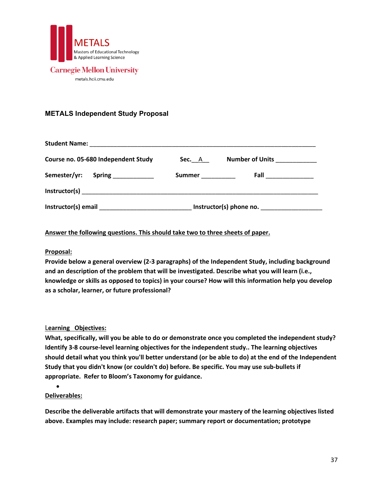

# **Carnegie Mellon University**

metals.hcii.cmu.edu

# <span id="page-39-0"></span>**METALS Independent Study Proposal**

| Course no. 05-680 Independent Study                                                                                                                                                                                            | <b>Sec.</b> A | Number of Units ___________ |
|--------------------------------------------------------------------------------------------------------------------------------------------------------------------------------------------------------------------------------|---------------|-----------------------------|
| Semester/yr:<br><b>Spring ______________</b>                                                                                                                                                                                   | Summer        | Fall ______________         |
|                                                                                                                                                                                                                                |               |                             |
| Instructor(s) email and the state of the state of the state of the state of the state of the state of the state of the state of the state of the state of the state of the state of the state of the state of the state of the |               | Instructor(s) phone no.     |

#### **Answer the following questions. This should take two to three sheets of paper.**

#### **Proposal:**

**Provide below a general overview (2-3 paragraphs) of the Independent Study, including background and an description of the problem that will be investigated. Describe what you will learn (i.e., knowledge or skills as opposed to topics) in your course? How will this information help you develop as a scholar, learner, or future professional?** 

#### L**earning Objectives:**

**What, specifically, will you be able to do or demonstrate once you completed the independent study? Identify 3-8 course-level learning objectives for the independent study.. The learning objectives should detail what you think you'll better understand (or be able to do) at the end of the Independent Study that you didn't know (or couldn't do) before. Be specific. You may use sub-bullets if appropriate. Refer to Bloom's Taxonomy for guidance.**

#### **Deliverables:**

•

**Describe the deliverable artifacts that will demonstrate your mastery of the learning objectives listed above. Examples may include: research paper; summary report or documentation; prototype**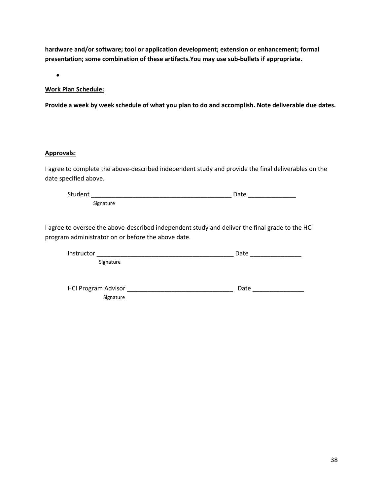**hardware and/or software; tool or application development; extension or enhancement; formal presentation; some combination of these artifacts.You may use sub-bullets if appropriate.**

•

#### **Work Plan Schedule:**

**Provide a week by week schedule of what you plan to do and accomplish. Note deliverable due dates.**

#### **Approvals:**

I agree to complete the above-described independent study and provide the final deliverables on the date specified above.

Student \_\_\_\_\_\_\_\_\_\_\_\_\_\_\_\_\_\_\_\_\_\_\_\_\_\_\_\_\_\_\_\_\_\_\_\_\_\_\_\_\_ Date \_\_\_\_\_\_\_\_\_\_\_\_\_\_ Signature

I agree to oversee the above-described independent study and deliver the final grade to the HCI program administrator on or before the above date.

| Instructor                 | Date |
|----------------------------|------|
| Signature                  |      |
|                            |      |
|                            |      |
| <b>HCI Program Advisor</b> | Date |
| Signature                  |      |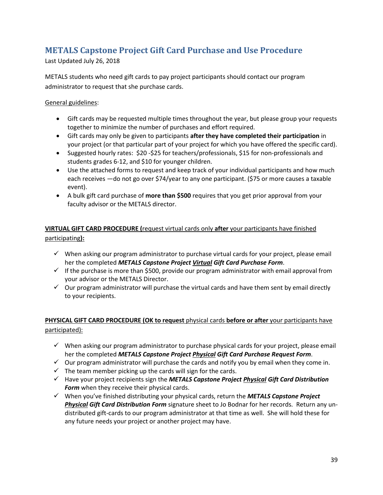# <span id="page-41-0"></span>**METALS Capstone Project Gift Card Purchase and Use Procedure**

Last Updated July 26, 2018

METALS students who need gift cards to pay project participants should contact our program administrator to request that she purchase cards.

General guidelines:

- Gift cards may be requested multiple times throughout the year, but please group your requests together to minimize the number of purchases and effort required.
- Gift cards may only be given to participants **after they have completed their participation** in your project (or that particular part of your project for which you have offered the specific card).
- Suggested hourly rates: \$20 -\$25 for teachers/professionals, \$15 for non-professionals and students grades 6-12, and \$10 for younger children.
- Use the attached forms to request and keep track of your individual participants and how much each receives —do not go over \$74/year to any one participant. (\$75 or more causes a taxable event).
- A bulk gift card purchase of **more than \$500** requires that you get prior approval from your faculty advisor or the METALS director.

# **VIRTUAL GIFT CARD PROCEDURE (**request virtual cards only **after** your participants have finished participating**):**

- $\checkmark$  When asking our program administrator to purchase virtual cards for your project, please email her the completed *METALS Capstone Project Virtual Gift Card Purchase Form*.
- $\checkmark$  If the purchase is more than \$500, provide our program administrator with email approval from your advisor or the METALS Director.
- $\checkmark$  Our program administrator will purchase the virtual cards and have them sent by email directly to your recipients.

# **PHYSICAL GIFT CARD PROCEDURE (OK to request** physical cards **before or after** your participants have participated):

- $\checkmark$  When asking our program administrator to purchase physical cards for your project, please email her the completed *METALS Capstone Project Physical Gift Card Purchase Request Form*.
- $\checkmark$  Our program administrator will purchase the cards and notify you by email when they come in.
- $\checkmark$  The team member picking up the cards will sign for the cards.
- Have your project recipients sign the *METALS Capstone Project Physical Gift Card Distribution Form* when they receive their physical cards.
- When you've finished distributing your physical cards, return the *METALS Capstone Project Physical Gift Card Distribution Form* signature sheet to Jo Bodnar for her records. Return any undistributed gift-cards to our program administrator at that time as well. She will hold these for any future needs your project or another project may have.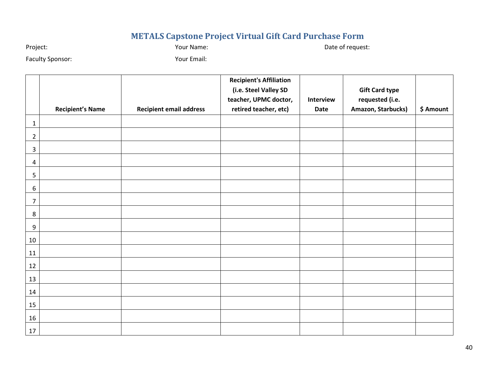# **METALS Capstone Project Virtual Gift Card Purchase Form**

Project: Name: Project: Date of request: Name: Project: Date of request:

Faculty Sponsor: The Contract of Sponsor: The Vour Email:

<span id="page-42-0"></span>

|                  | <b>Recipient's Name</b> | <b>Recipient email address</b> | <b>Recipient's Affiliation</b><br>(i.e. Steel Valley SD<br>teacher, UPMC doctor,<br>retired teacher, etc) | Interview<br><b>Date</b> | <b>Gift Card type</b><br>requested (i.e.<br>Amazon, Starbucks) | \$ Amount |
|------------------|-------------------------|--------------------------------|-----------------------------------------------------------------------------------------------------------|--------------------------|----------------------------------------------------------------|-----------|
| $\mathbf{1}$     |                         |                                |                                                                                                           |                          |                                                                |           |
| $\overline{2}$   |                         |                                |                                                                                                           |                          |                                                                |           |
| $\overline{3}$   |                         |                                |                                                                                                           |                          |                                                                |           |
| 4                |                         |                                |                                                                                                           |                          |                                                                |           |
| 5                |                         |                                |                                                                                                           |                          |                                                                |           |
| 6                |                         |                                |                                                                                                           |                          |                                                                |           |
| $\overline{7}$   |                         |                                |                                                                                                           |                          |                                                                |           |
| $\,8\,$          |                         |                                |                                                                                                           |                          |                                                                |           |
| $\boldsymbol{9}$ |                         |                                |                                                                                                           |                          |                                                                |           |
| 10               |                         |                                |                                                                                                           |                          |                                                                |           |
| 11               |                         |                                |                                                                                                           |                          |                                                                |           |
| 12               |                         |                                |                                                                                                           |                          |                                                                |           |
| 13               |                         |                                |                                                                                                           |                          |                                                                |           |
| 14               |                         |                                |                                                                                                           |                          |                                                                |           |
| 15               |                         |                                |                                                                                                           |                          |                                                                |           |
| 16               |                         |                                |                                                                                                           |                          |                                                                |           |
| 17               |                         |                                |                                                                                                           |                          |                                                                |           |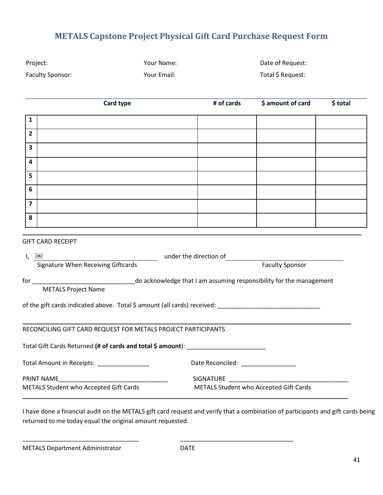# **METALS Capstone Project Physical Gift Card Purchase Request Form**

<span id="page-43-0"></span>

| Project:                                                                                                                    | Your Name:  | Date of Request:  |                                        |          |  |  |  |  |  |  |
|-----------------------------------------------------------------------------------------------------------------------------|-------------|-------------------|----------------------------------------|----------|--|--|--|--|--|--|
| <b>Faculty Sponsor:</b>                                                                                                     | Your Email: | Total \$ Request: |                                        |          |  |  |  |  |  |  |
|                                                                                                                             |             |                   |                                        |          |  |  |  |  |  |  |
|                                                                                                                             | Card type   | # of cards        | \$ amount of card                      | \$ total |  |  |  |  |  |  |
| $\mathbf{1}$                                                                                                                |             |                   |                                        |          |  |  |  |  |  |  |
| $\overline{2}$                                                                                                              |             |                   |                                        |          |  |  |  |  |  |  |
| 3                                                                                                                           |             |                   |                                        |          |  |  |  |  |  |  |
| 4                                                                                                                           |             |                   |                                        |          |  |  |  |  |  |  |
| 5                                                                                                                           |             |                   |                                        |          |  |  |  |  |  |  |
| $6\phantom{1}$                                                                                                              |             |                   |                                        |          |  |  |  |  |  |  |
| $\overline{7}$                                                                                                              |             |                   |                                        |          |  |  |  |  |  |  |
| 8                                                                                                                           |             |                   |                                        |          |  |  |  |  |  |  |
|                                                                                                                             |             |                   |                                        |          |  |  |  |  |  |  |
| <b>GIFT CARD RECEIPT</b>                                                                                                    |             |                   |                                        |          |  |  |  |  |  |  |
| under the direction of<br>$I, \quad \overline{O}$ BJ<br><b>Signature When Receiving Giftcards</b><br><b>Faculty Sponsor</b> |             |                   |                                        |          |  |  |  |  |  |  |
|                                                                                                                             |             |                   |                                        |          |  |  |  |  |  |  |
| <b>METALS Project Name</b>                                                                                                  |             |                   |                                        |          |  |  |  |  |  |  |
| of the gift cards indicated above. Total \$ amount (all cards) received: ____________________________                       |             |                   |                                        |          |  |  |  |  |  |  |
|                                                                                                                             |             |                   |                                        |          |  |  |  |  |  |  |
| RECONCILING GIFT CARD REQUEST FOR METALS PROJECT PARTICIPANTS                                                               |             |                   |                                        |          |  |  |  |  |  |  |
| Total Gift Cards Returned (# of cards and total \$ amount): _____________________                                           |             |                   |                                        |          |  |  |  |  |  |  |
| Total Amount in Receipts: _________________                                                                                 |             |                   |                                        |          |  |  |  |  |  |  |
| PRINT NAME<br>METALS Student who Accepted Gift Cards                                                                        |             | SIGNATURE         | METALS Student who Accepted Gift Cards |          |  |  |  |  |  |  |
|                                                                                                                             |             |                   |                                        |          |  |  |  |  |  |  |

I have done a financial audit on the METALS gift card request and verify that a combination of participants and gift cards being returned to me today equal the original amount requested.

METALS Department Administrator **DATE** 

\_\_\_\_\_\_\_\_\_\_\_\_\_\_\_\_\_\_\_\_\_\_\_\_\_\_\_\_\_\_\_\_\_\_ \_\_\_\_\_\_\_\_\_\_\_\_\_\_\_\_\_\_\_\_\_\_\_\_\_\_\_\_\_\_\_\_\_